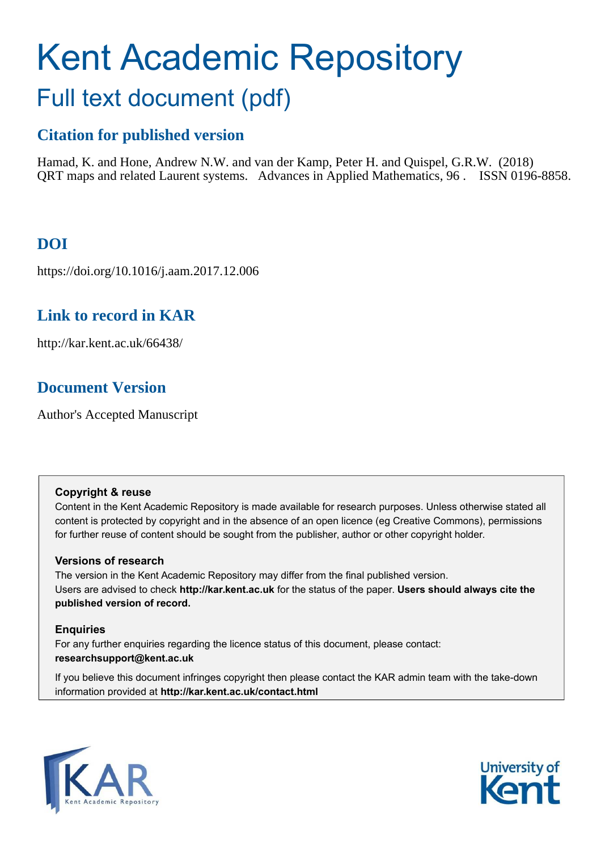# Kent Academic Repository Full text document (pdf)

# **Citation for published version**

Hamad, K. and Hone, Andrew N.W. and van der Kamp, Peter H. and Quispel, G.R.W. (2018) QRT maps and related Laurent systems. Advances in Applied Mathematics, 96 . ISSN 0196-8858.

# **DOI**

https://doi.org/10.1016/j.aam.2017.12.006

# **Link to record in KAR**

http://kar.kent.ac.uk/66438/

# **Document Version**

Author's Accepted Manuscript

# **Copyright & reuse**

Content in the Kent Academic Repository is made available for research purposes. Unless otherwise stated all content is protected by copyright and in the absence of an open licence (eg Creative Commons), permissions for further reuse of content should be sought from the publisher, author or other copyright holder.

# **Versions of research**

The version in the Kent Academic Repository may differ from the final published version. Users are advised to check **http://kar.kent.ac.uk** for the status of the paper. **Users should always cite the published version of record.**

# **Enquiries**

For any further enquiries regarding the licence status of this document, please contact: **researchsupport@kent.ac.uk**

If you believe this document infringes copyright then please contact the KAR admin team with the take-down information provided at **http://kar.kent.ac.uk/contact.html**



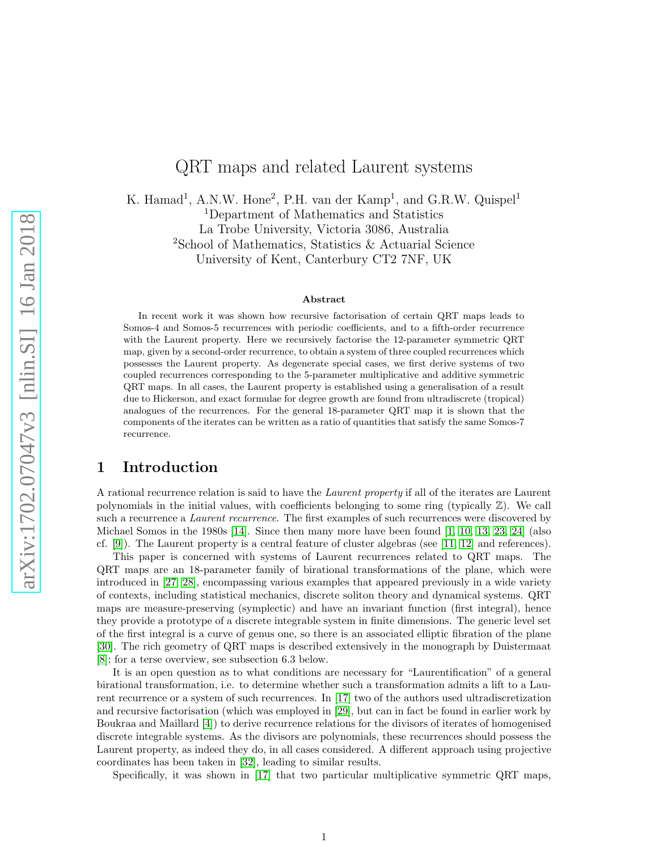# <span id="page-1-0"></span>QRT maps and related Laurent systems

K. Hamad<sup>1</sup>, A.N.W. Hone<sup>2</sup>, P.H. van der Kamp<sup>1</sup>, and G.R.W. Quispel<sup>1</sup> <sup>1</sup>Department of Mathematics and Statistics La Trobe University, Victoria 3086, Australia <sup>2</sup>School of Mathematics, Statistics & Actuarial Science University of Kent, Canterbury CT2 7NF, UK

#### <span id="page-1-8"></span><span id="page-1-7"></span><span id="page-1-4"></span><span id="page-1-3"></span><span id="page-1-2"></span><span id="page-1-1"></span>Abstract

<span id="page-1-5"></span>In recent work it was shown how recursive factorisation of certain QRT maps leads to Somos-4 and Somos-5 recurrences with periodic coefficients, and to a fifth-order recurrence with the Laurent property. Here we recursively factorise the 12-parameter symmetric QRT map, given by a second-order recurrence, to obtain a system of three coupled recurrences which possesses the Laurent property. As degenerate special cases, we first derive systems of two coupled recurrences corresponding to the 5-parameter multiplicative and additive symmetric QRT maps. In all cases, the Laurent property is established using a generalisation of a result due to Hickerson, and exact formulae for degree growth are found from ultradiscrete (tropical) analogues of the recurrences. For the general 18-parameter QRT map it is shown that the components of the iterates can be written as a ratio of quantities that satisfy the same Somos-7 recurrence.

# 1 Introduction

A rational recurrence relation is said to have the Laurent property if all of the iterates are Laurent polynomials in the initial values, with coefficients belonging to some ring (typically Z). We call such a recurrence a *Laurent recurrence*. The first examples of such recurrences were discovered by Michael Somos in the 1980s [\[14\]](#page-22-0). Since then many more have been found [\[1,](#page-21-0) [10,](#page-22-1) [13,](#page-22-2) [23,](#page-22-3) [24\]](#page-22-4) (also cf. [\[9\]](#page-22-5)). The Laurent property is a central feature of cluster algebras (see [\[11,](#page-22-6) [12\]](#page-22-7) and references).

This paper is concerned with systems of Laurent recurrences related to QRT maps. The QRT maps are an 18-parameter family of birational transformations of the plane, which were introduced in [\[27,](#page-22-8) [28\]](#page-23-0), encompassing various examples that appeared previously in a wide variety of contexts, including statistical mechanics, discrete soliton theory and dynamical systems. QRT maps are measure-preserving (symplectic) and have an invariant function (first integral), hence they provide a prototype of a discrete integrable system in finite dimensions. The generic level set of the first integral is a curve of genus one, so there is an associated elliptic fibration of the plane [\[30\]](#page-23-1). The rich geometry of QRT maps is described extensively in the monograph by Duistermaat [\[8\]](#page-22-9); for a terse overview, see subsection 6.3 below.

It is an open question as to what conditions are necessary for "Laurentification" of a general birational transformation, i.e. to determine whether such a transformation admits a lift to a Laurent recurrence or a system of such recurrences. In [\[17\]](#page-22-10) two of the authors used ultradiscretization and recursive factorisation (which was employed in [\[29\]](#page-23-2), but can in fact be found in earlier work by Boukraa and Maillard [\[4\]](#page-21-1)) to derive recurrence relations for the divisors of iterates of homogenised discrete integrable systems. As the divisors are polynomials, these recurrences should possess the Laurent property, as indeed they do, in all cases considered. A different approach using projective coordinates has been taken in [\[32\]](#page-23-3), leading to similar results.

<span id="page-1-6"></span>Specifically, it was shown in [\[17\]](#page-22-10) that two particular multiplicative symmetric QRT maps,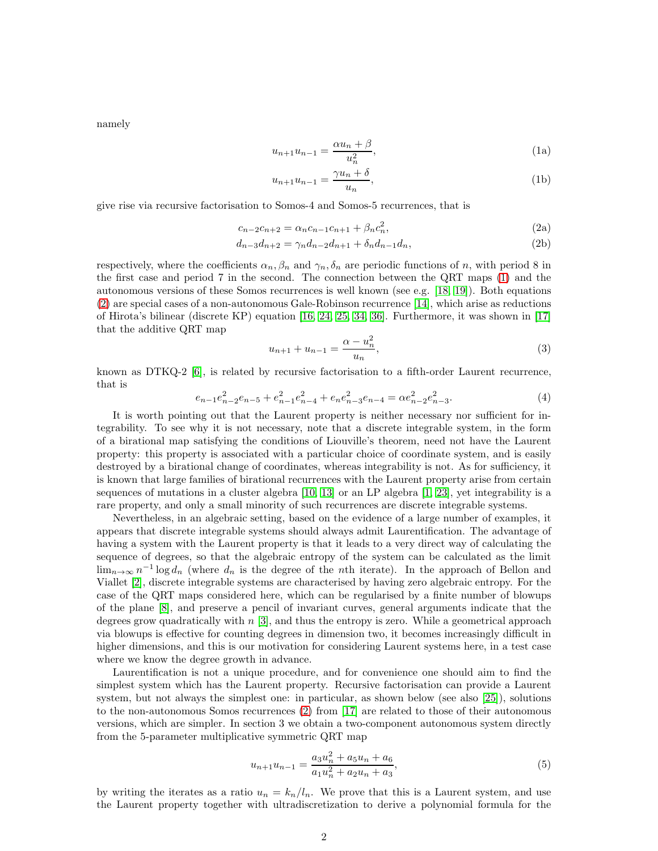namely

$$
u_{n+1}u_{n-1} = \frac{\alpha u_n + \beta}{u_n^2},\tag{1a}
$$

<span id="page-2-0"></span>
$$
u_{n+1}u_{n-1} = \frac{\gamma u_n + \delta}{u_n},\tag{1b}
$$

give rise via recursive factorisation to Somos-4 and Somos-5 recurrences, that is

$$
c_{n-2}c_{n+2} = \alpha_n c_{n-1}c_{n+1} + \beta_n c_n^2,
$$
\n(2a)

$$
d_{n-3}d_{n+2} = \gamma_n d_{n-2}d_{n+1} + \delta_n d_{n-1}d_n, \tag{2b}
$$

respectively, where the coefficients  $\alpha_n, \beta_n$  and  $\gamma_n, \delta_n$  are periodic functions of n, with period 8 in the first case and period 7 in the second. The connection between the QRT maps [\(1\)](#page-1-0) and the autonomous versions of these Somos recurrences is well known (see e.g. [\[18,](#page-22-11) [19\]](#page-22-12)). Both equations [\(2\)](#page-1-1) are special cases of a non-autonomous Gale-Robinson recurrence [\[14\]](#page-22-0), which arise as reductions of Hirota's bilinear (discrete KP) equation [\[16,](#page-22-13) [24,](#page-22-4) [25,](#page-22-14) [34,](#page-23-4) [36\]](#page-23-5). Furthermore, it was shown in [\[17\]](#page-22-10) that the additive QRT map

<span id="page-2-1"></span>
$$
u_{n+1} + u_{n-1} = \frac{\alpha - u_n^2}{u_n},
$$
\n(3)

known as DTKQ-2 [\[6\]](#page-22-15), is related by recursive factorisation to a fifth-order Laurent recurrence, that is

$$
e_{n-1}e_{n-2}^2e_{n-5} + e_{n-1}^2e_{n-4}^2 + e_ne_{n-3}^2e_{n-4} = \alpha e_{n-2}^2e_{n-3}^2.
$$
 (4)

It is worth pointing out that the Laurent property is neither necessary nor sufficient for integrability. To see why it is not necessary, note that a discrete integrable system, in the form of a birational map satisfying the conditions of Liouville's theorem, need not have the Laurent property: this property is associated with a particular choice of coordinate system, and is easily destroyed by a birational change of coordinates, whereas integrability is not. As for sufficiency, it is known that large families of birational recurrences with the Laurent property arise from certain sequences of mutations in a cluster algebra [\[10,](#page-22-1) [13\]](#page-22-2) or an LP algebra [\[1,](#page-21-0) [23\]](#page-22-3), yet integrability is a rare property, and only a small minority of such recurrences are discrete integrable systems.

Nevertheless, in an algebraic setting, based on the evidence of a large number of examples, it appears that discrete integrable systems should always admit Laurentification. The advantage of having a system with the Laurent property is that it leads to a very direct way of calculating the sequence of degrees, so that the algebraic entropy of the system can be calculated as the limit  $\lim_{n\to\infty} n^{-1}\log d_n$  (where  $d_n$  is the degree of the *n*th iterate). In the approach of Bellon and Viallet [\[2\]](#page-21-2), discrete integrable systems are characterised by having zero algebraic entropy. For the case of the QRT maps considered here, which can be regularised by a finite number of blowups of the plane [\[8\]](#page-22-9), and preserve a pencil of invariant curves, general arguments indicate that the degrees grow quadratically with n [\[3\]](#page-21-3), and thus the entropy is zero. While a geometrical approach via blowups is effective for counting degrees in dimension two, it becomes increasingly difficult in higher dimensions, and this is our motivation for considering Laurent systems here, in a test case where we know the degree growth in advance.

Laurentification is not a unique procedure, and for convenience one should aim to find the simplest system which has the Laurent property. Recursive factorisation can provide a Laurent system, but not always the simplest one: in particular, as shown below (see also [\[25\]](#page-22-14)), solutions to the non-autonomous Somos recurrences [\(2\)](#page-1-1) from [\[17\]](#page-22-10) are related to those of their autonomous versions, which are simpler. In section 3 we obtain a two-component autonomous system directly from the 5-parameter multiplicative symmetric QRT map

<span id="page-2-2"></span>
$$
u_{n+1}u_{n-1} = \frac{a_3u_n^2 + a_5u_n + a_6}{a_1u_n^2 + a_2u_n + a_3},\tag{5}
$$

by writing the iterates as a ratio  $u_n = k_n/l_n$ . We prove that this is a Laurent system, and use the Laurent property together with ultradiscretization to derive a polynomial formula for the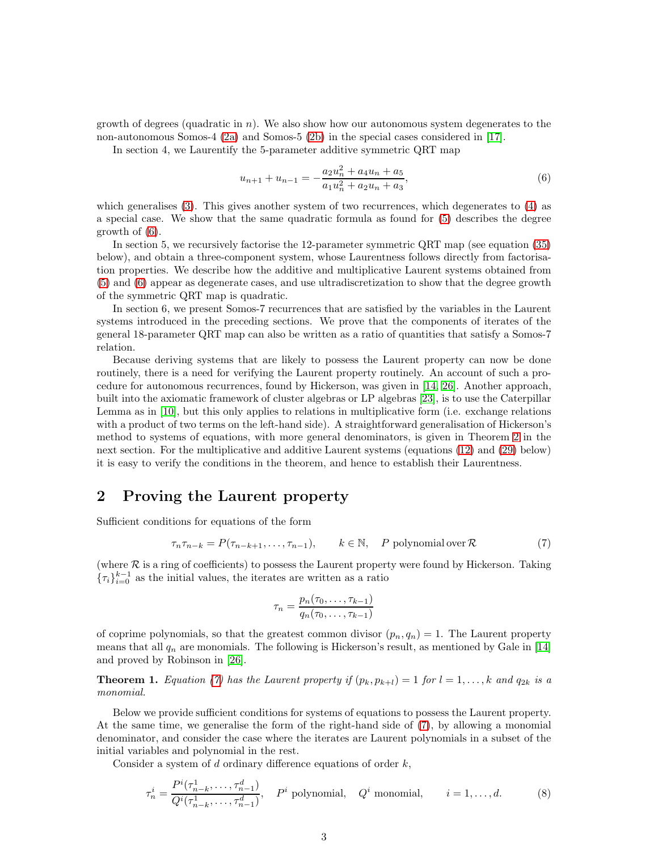growth of degrees (quadratic in  $n$ ). We also show how our autonomous system degenerates to the non-autonomous Somos-4 [\(2a\)](#page-1-2) and Somos-5 [\(2b\)](#page-1-3) in the special cases considered in [\[17\]](#page-22-10).

In section 4, we Laurentify the 5-parameter additive symmetric QRT map

<span id="page-3-1"></span>
$$
u_{n+1} + u_{n-1} = -\frac{a_2 u_n^2 + a_4 u_n + a_5}{a_1 u_n^2 + a_2 u_n + a_3},\tag{6}
$$

which generalises [\(3\)](#page-1-4). This gives another system of two recurrences, which degenerates to [\(4\)](#page-1-5) as a special case. We show that the same quadratic formula as found for [\(5\)](#page-1-6) describes the degree growth of [\(6\)](#page-2-0).

<span id="page-3-0"></span>In section 5, we recursively factorise the 12-parameter symmetric QRT map (see equation [\(35\)](#page-9-0) below), and obtain a three-component system, whose Laurentness follows directly from factorisation properties. We describe how the additive and multiplicative Laurent systems obtained from [\(5\)](#page-1-6) and [\(6\)](#page-2-0) appear as degenerate cases, and use ultradiscretization to show that the degree growth of the symmetric QRT map is quadratic.

In section 6, we present Somos-7 recurrences that are satisfied by the variables in the Laurent systems introduced in the preceding sections. We prove that the components of iterates of the general 18-parameter QRT map can also be written as a ratio of quantities that satisfy a Somos-7 relation.

Because deriving systems that are likely to possess the Laurent property can now be done routinely, there is a need for verifying the Laurent property routinely. An account of such a procedure for autonomous recurrences, found by Hickerson, was given in [\[14,](#page-22-0) [26\]](#page-22-16). Another approach, built into the axiomatic framework of cluster algebras or LP algebras [\[23\]](#page-22-3), is to use the Caterpillar Lemma as in [\[10\]](#page-22-1), but this only applies to relations in multiplicative form (i.e. exchange relations with a product of two terms on the left-hand side). A straightforward generalisation of Hickerson's method to systems of equations, with more general denominators, is given in Theorem [2](#page-3-0) in the next section. For the multiplicative and additive Laurent systems (equations [\(12\)](#page-4-0) and [\(29\)](#page-7-0) below) it is easy to verify the conditions in the theorem, and hence to establish their Laurentness.

# 2 Proving the Laurent property

Sufficient conditions for equations of the form

$$
\tau_n \tau_{n-k} = P(\tau_{n-k+1}, \dots, \tau_{n-1}), \qquad k \in \mathbb{N}, \quad P \text{ polynomial over } \mathcal{R} \tag{7}
$$

(where  $R$  is a ring of coefficients) to possess the Laurent property were found by Hickerson. Taking  ${\lbrace \tau_i \rbrace}_{i=0}^{k-1}$  as the initial values, the iterates are written as a ratio

<span id="page-3-3"></span><span id="page-3-2"></span>
$$
\tau_n = \frac{p_n(\tau_0, \dots, \tau_{k-1})}{q_n(\tau_0, \dots, \tau_{k-1})}
$$

of coprime polynomials, so that the greatest common divisor  $(p_n, q_n) = 1$ . The Laurent property means that all  $q_n$  are monomials. The following is Hickerson's result, as mentioned by Gale in [\[14\]](#page-22-0) and proved by Robinson in [\[26\]](#page-22-16).

**Theorem 1.** Equation [\(7\)](#page-2-1) has the Laurent property if  $(p_k, p_{k+l}) = 1$  for  $l = 1, ..., k$  and  $q_{2k}$  is a monomial.

Below we provide sufficient conditions for systems of equations to possess the Laurent property. At the same time, we generalise the form of the right-hand side of [\(7\)](#page-2-1), by allowing a monomial denominator, and consider the case where the iterates are Laurent polynomials in a subset of the initial variables and polynomial in the rest.

Consider a system of d ordinary difference equations of order  $k$ ,

$$
\tau_n^i = \frac{P^i(\tau_{n-k}^1, \dots, \tau_{n-1}^d)}{Q^i(\tau_{n-k}^1, \dots, \tau_{n-1}^d)}, \quad P^i
$$
 polynomial,  $Q^i$  monomial,  $i = 1, \dots, d.$  (8)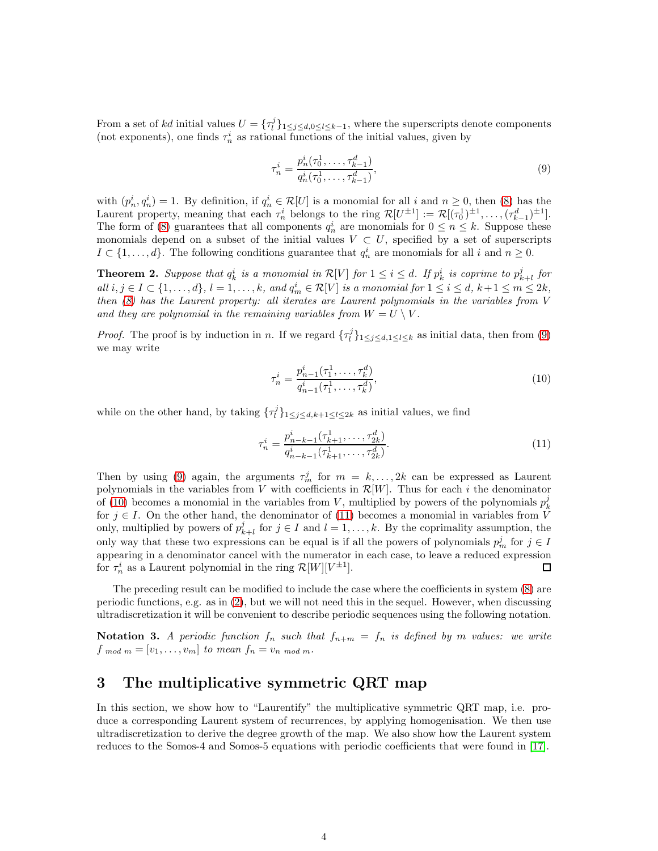From a set of kd initial values  $U = {\tau_l^j}_{1 \leq j \leq d, 0 \leq l \leq k-1}$ , where the superscripts denote components (not exponents), one finds  $\tau_n^i$  as rational functions of the initial values, given by

<span id="page-4-2"></span><span id="page-4-1"></span><span id="page-4-0"></span>
$$
\tau_n^i = \frac{p_n^i(\tau_0^1, \dots, \tau_{k-1}^d)}{q_n^i(\tau_0^1, \dots, \tau_{k-1}^d)},\tag{9}
$$

with  $(p_n^i, q_n^i) = 1$ . By definition, if  $q_n^i \in \mathcal{R}[U]$  is a monomial for all i and  $n \geq 0$ , then [\(8\)](#page-2-2) has the Laurent property, meaning that each  $\tau_n^i$  belongs to the ring  $\mathcal{R}[U^{\pm 1}] := \mathcal{R}[(\tau_0^1)^{\pm 1}, \ldots, (\tau_{k-1}^d)^{\pm 1}]$ . The form of [\(8\)](#page-2-2) guarantees that all components  $q_n^i$  are monomials for  $0 \le n \le k$ . Suppose these monomials depend on a subset of the initial values  $V \subset U$ , specified by a set of superscripts  $I \subset \{1, ..., d\}$ . The following conditions guarantee that  $q_n^i$  are monomials for all i and  $n \geq 0$ .

<span id="page-4-5"></span>**Theorem 2.** Suppose that  $q_k^i$  is a monomial in  $\mathcal{R}[V]$  for  $1 \leq i \leq d$ . If  $p_k^i$  is coprime to  $p_{k+l}^j$  for all  $i, j \in I \subset \{1, \ldots, d\}, l = 1, \ldots, k$ , and  $q_m^i \in \mathcal{R}[V]$  is a monomial for  $1 \le i \le d$ ,  $k+1 \le m \le 2k$ , then [\(8\)](#page-2-2) has the Laurent property: all iterates are Laurent polynomials in the variables from V and they are polynomial in the remaining variables from  $W = U \setminus V$ .

*Proof.* The proof is by induction in n. If we regard  $\{\tau_l^j\}_{1 \leq j \leq d, 1 \leq l \leq k}$  as initial data, then from [\(9\)](#page-3-1) we may write

$$
\tau_n^i = \frac{p_{n-1}^i(\tau_1^1, \dots, \tau_k^d)}{q_{n-1}^i(\tau_1^1, \dots, \tau_k^d)},\tag{10}
$$

while on the other hand, by taking  $\{\tau_l^j\}_{1 \leq j \leq d, k+1 \leq l \leq 2k}$  as initial values, we find

$$
\tau_n^i = \frac{p_{n-k-1}^i(\tau_{k+1}^1, \dots, \tau_{2k}^d)}{q_{n-k-1}^i(\tau_{k+1}^1, \dots, \tau_{2k}^d)}.
$$
\n(11)

<span id="page-4-4"></span>Then by using [\(9\)](#page-3-1) again, the arguments  $\tau_m^j$  for  $m = k, \ldots, 2k$  can be expressed as Laurent polynomials in the variables from V with coefficients in  $\mathcal{R}[W]$ . Thus for each i the denominator of [\(10\)](#page-3-2) becomes a monomial in the variables from V, multiplied by powers of the polynomials  $p_k^j$ for  $j \in I$ . On the other hand, the denominator of [\(11\)](#page-3-3) becomes a monomial in variables from V only, multiplied by powers of  $p_{k+l}^j$  for  $j \in I$  and  $l = 1, ..., k$ . By the coprimality assumption, the only way that these two expressions can be equal is if all the powers of polynomials  $p_m^j$  for  $j \in I$ appearing in a denominator cancel with the numerator in each case, to leave a reduced expression for  $\tau_n^i$  as a Laurent polynomial in the ring  $\mathcal{R}[W][V^{\pm 1}]$ .  $\Box$ 

The preceding result can be modified to include the case where the coefficients in system [\(8\)](#page-2-2) are periodic functions, e.g. as in [\(2\)](#page-1-1), but we will not need this in the sequel. However, when discussing ultradiscretization it will be convenient to describe periodic sequences using the following notation.

<span id="page-4-6"></span>**Notation 3.** A periodic function  $f_n$  such that  $f_{n+m} = f_n$  is defined by m values: we write  $f_{mod m} = [v_1, \ldots, v_m]$  to mean  $f_n = v_n$  mod m.

# 3 The multiplicative symmetric QRT map

<span id="page-4-3"></span>In this section, we show how to "Laurentify" the multiplicative symmetric QRT map, i.e. produce a corresponding Laurent system of recurrences, by applying homogenisation. We then use ultradiscretization to derive the degree growth of the map. We also show how the Laurent system reduces to the Somos-4 and Somos-5 equations with periodic coefficients that were found in [\[17\]](#page-22-10).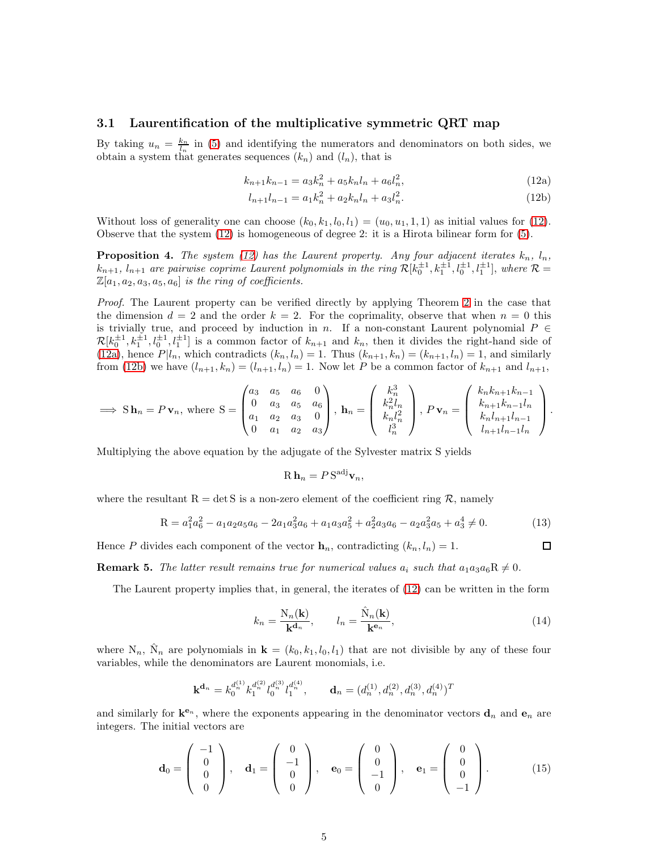#### 3.1 Laurentification of the multiplicative symmetric QRT map

By taking  $u_n = \frac{k_n}{l_n}$  in [\(5\)](#page-1-6) and identifying the numerators and denominators on both sides, we obtain a system that generates sequences  $(k_n)$  and  $(l_n)$ , that is

$$
k_{n+1}k_{n-1} = a_3k_n^2 + a_5k_n l_n + a_6l_n^2,
$$
\n(12a)

$$
l_{n+1}l_{n-1} = a_1k_n^2 + a_2k_nl_n + a_3l_n^2.
$$
\n(12b)

<span id="page-5-6"></span>Without loss of generality one can choose  $(k_0, k_1, l_0, l_1) = (u_0, u_1, 1, 1)$  as initial values for [\(12\)](#page-4-0). Observe that the system [\(12\)](#page-4-0) is homogeneous of degree 2: it is a Hirota bilinear form for [\(5\)](#page-1-6).

**Proposition 4.** The system [\(12\)](#page-4-0) has the Laurent property. Any four adjacent iterates  $k_n$ ,  $l_n$ ,  $k_{n+1}, l_{n+1}$  are pairwise coprime Laurent polynomials in the ring  $\mathcal{R}[k_0^{\pm 1}, k_1^{\pm 1}, l_0^{\pm 1}, l_1^{\pm 1}]$ , where  $\mathcal{R} =$  $\mathbb{Z}[a_1, a_2, a_3, a_5, a_6]$  is the ring of coefficients.

<span id="page-5-1"></span>Proof. The Laurent property can be verified directly by applying Theorem [2](#page-3-0) in the case that the dimension  $d = 2$  and the order  $k = 2$ . For the coprimality, observe that when  $n = 0$  this is trivially true, and proceed by induction in n. If a non-constant Laurent polynomial  $P \in$  $\mathcal{R}[k_0^{\pm 1}, k_1^{\pm 1}, l_0^{\pm 1}, l_1^{\pm 1}]$  is a common factor of  $k_{n+1}$  and  $k_n$ , then it divides the right-hand side of [\(12a\)](#page-4-1), hence  $P|l_n$ , which contradicts  $(k_n, l_n) = 1$ . Thus  $(k_{n+1}, k_n) = (k_{n+1}, l_n) = 1$ , and similarly from [\(12b\)](#page-4-2) we have  $(l_{n+1}, k_n) = (l_{n+1}, l_n) = 1$ . Now let P be a common factor of  $k_{n+1}$  and  $l_{n+1}$ ,

$$
\implies S \mathbf{h}_n = P \mathbf{v}_n, \text{ where } S = \begin{pmatrix} a_3 & a_5 & a_6 & 0 \\ 0 & a_3 & a_5 & a_6 \\ a_1 & a_2 & a_3 & 0 \\ 0 & a_1 & a_2 & a_3 \end{pmatrix}, \mathbf{h}_n = \begin{pmatrix} k_n^3 \\ k_n^2 l_n \\ k_n l_n^2 \\ l_n^3 \end{pmatrix}, P \mathbf{v}_n = \begin{pmatrix} k_n k_{n+1} k_{n-1} \\ k_n k_{n+1} k_{n-1} l_n \\ k_n l_{n+1} l_{n-1} l_n \\ l_{n+1} l_{n-1} l_n \end{pmatrix}.
$$

Multiplying the above equation by the adjugate of the Sylvester matrix S yields

<span id="page-5-2"></span>
$$
\mathrm{R}\,\mathbf{h}_n = P\,\mathrm{S}^{\mathrm{adj}}\mathbf{v}_n,
$$

where the resultant  $R = det S$  is a non-zero element of the coefficient ring R, namely

$$
R = a_1^2 a_6^2 - a_1 a_2 a_5 a_6 - 2 a_1 a_3^2 a_6 + a_1 a_3 a_5^2 + a_2^2 a_3 a_6 - a_2 a_3^2 a_5 + a_3^4 \neq 0.
$$
 (13)

Hence P divides each component of the vector  $\mathbf{h}_n$ , contradicting  $(k_n, l_n) = 1$ .

**Remark 5.** The latter result remains true for numerical values  $a_i$  such that  $a_1a_3a_6R \neq 0$ .

The Laurent property implies that, in general, the iterates of [\(12\)](#page-4-0) can be written in the form

<span id="page-5-5"></span><span id="page-5-4"></span><span id="page-5-3"></span>
$$
k_n = \frac{\mathcal{N}_n(\mathbf{k})}{\mathbf{k}^{d_n}}, \qquad l_n = \frac{\hat{\mathcal{N}}_n(\mathbf{k})}{\mathbf{k}^{e_n}},
$$
\n(14)

 $\Box$ 

where  $N_n$ ,  $\hat{N}_n$  are polynomials in  $\mathbf{k} = (k_0, k_1, l_0, l_1)$  that are not divisible by any of these four variables, while the denominators are Laurent monomials, i.e.

$$
\mathbf{k}^{\mathbf{d}_n} = k_0^{d_n^{(1)}} k_1^{d_n^{(2)}} l_0^{d_n^{(3)}} l_1^{d_n^{(4)}}, \qquad \mathbf{d}_n = (d_n^{(1)}, d_n^{(2)}, d_n^{(3)}, d_n^{(4)})^T
$$

<span id="page-5-7"></span>and similarly for  $\mathbf{k}^{e_n}$ , where the exponents appearing in the denominator vectors  $\mathbf{d}_n$  and  $\mathbf{e}_n$  are integers. The initial vectors are

<span id="page-5-0"></span>
$$
\mathbf{d}_0 = \begin{pmatrix} -1 \\ 0 \\ 0 \\ 0 \end{pmatrix}, \quad \mathbf{d}_1 = \begin{pmatrix} 0 \\ -1 \\ 0 \\ 0 \end{pmatrix}, \quad \mathbf{e}_0 = \begin{pmatrix} 0 \\ 0 \\ -1 \\ 0 \end{pmatrix}, \quad \mathbf{e}_1 = \begin{pmatrix} 0 \\ 0 \\ 0 \\ -1 \end{pmatrix}.
$$
 (15)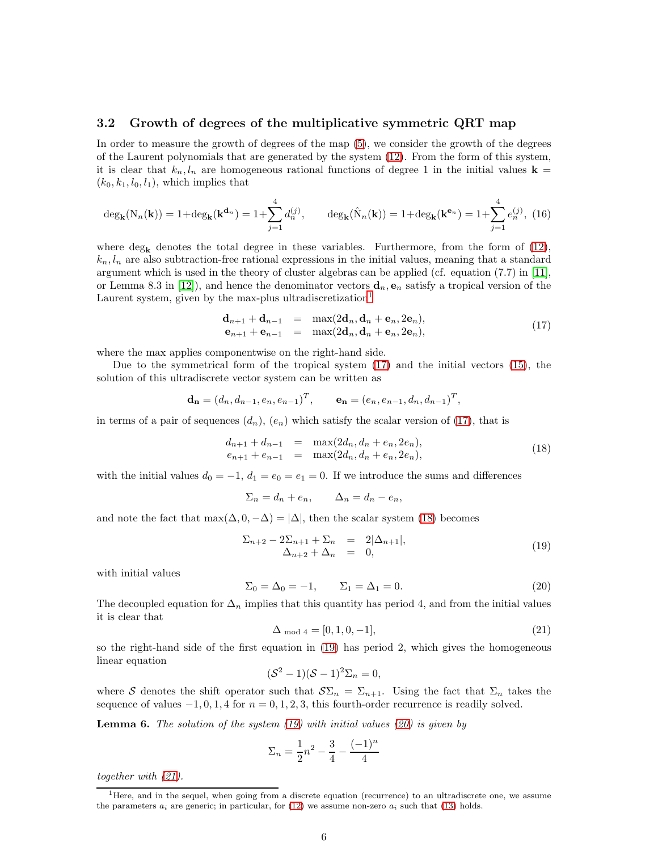#### 3.2 Growth of degrees of the multiplicative symmetric QRT map

In order to measure the growth of degrees of the map [\(5\)](#page-1-6), we consider the growth of the degrees of the Laurent polynomials that are generated by the system [\(12\)](#page-4-0). From the form of this system, it is clear that  $k_n, l_n$  are homogeneous rational functions of degree 1 in the initial values **k** =  $(k_0, k_1, l_0, l_1)$ , which implies that

<span id="page-6-0"></span>
$$
\deg_{\mathbf{k}}(N_n(\mathbf{k})) = 1 + \deg_{\mathbf{k}}(\mathbf{k}^{\mathbf{d}_n}) = 1 + \sum_{j=1}^4 d_n^{(j)}, \qquad \deg_{\mathbf{k}}(\hat{N}_n(\mathbf{k})) = 1 + \deg_{\mathbf{k}}(\mathbf{k}^{\mathbf{e}_n}) = 1 + \sum_{j=1}^4 e_n^{(j)}, \tag{16}
$$

where deg<sub>k</sub> denotes the total degree in these variables. Furthermore, from the form of  $(12)$ ,  $k_n, l_n$  are also subtraction-free rational expressions in the initial values, meaning that a standard argument which is used in the theory of cluster algebras can be applied (cf. equation (7.7) in [\[11\]](#page-22-6), or Lemma 8.3 in [\[12\]](#page-22-7)), and hence the denominator vectors  $\mathbf{d}_n, \mathbf{e}_n$  satisfy a tropical version of the Laurent system, given by the max-plus ultradiscretization<sup>[1](#page-5-0)</sup>

$$
\begin{array}{rcl}\n\mathbf{d}_{n+1} + \mathbf{d}_{n-1} & = & \max(2\mathbf{d}_n, \mathbf{d}_n + \mathbf{e}_n, 2\mathbf{e}_n), \\
\mathbf{e}_{n+1} + \mathbf{e}_{n-1} & = & \max(2\mathbf{d}_n, \mathbf{d}_n + \mathbf{e}_n, 2\mathbf{e}_n),\n\end{array} \tag{17}
$$

where the max applies componentwise on the right-hand side.

Due to the symmetrical form of the tropical system [\(17\)](#page-5-1) and the initial vectors [\(15\)](#page-4-3), the solution of this ultradiscrete vector system can be written as

$$
\mathbf{d_n} = (d_n, d_{n-1}, e_n, e_{n-1})^T, \qquad \mathbf{e_n} = (e_n, e_{n-1}, d_n, d_{n-1})^T,
$$

in terms of a pair of sequences  $(d_n)$ ,  $(e_n)$  which satisfy the scalar version of [\(17\)](#page-5-1), that is

<span id="page-6-3"></span>
$$
d_{n+1} + d_{n-1} = \max(2d_n, d_n + e_n, 2e_n),
$$
  
\n
$$
e_{n+1} + e_{n-1} = \max(2d_n, d_n + e_n, 2e_n),
$$
\n(18)

<span id="page-6-4"></span>with the initial values  $d_0 = -1$ ,  $d_1 = e_0 = e_1 = 0$ . If we introduce the sums and differences

$$
\Sigma_n = d_n + e_n, \qquad \Delta_n = d_n - e_n,
$$

and note the fact that  $\max(\Delta, 0, -\Delta) = |\Delta|$ , then the scalar system [\(18\)](#page-5-2) becomes

<span id="page-6-2"></span>
$$
\Sigma_{n+2} - 2\Sigma_{n+1} + \Sigma_n = 2|\Delta_{n+1}|,
$$
  
\n
$$
\Delta_{n+2} + \Delta_n = 0,
$$
\n(19)

with initial values

$$
\Sigma_0 = \Delta_0 = -1, \qquad \Sigma_1 = \Delta_1 = 0.
$$
\n(20)

The decoupled equation for  $\Delta_n$  implies that this quantity has period 4, and from the initial values it is clear that

<span id="page-6-1"></span>
$$
\Delta_{\text{mod }4} = [0, 1, 0, -1],\tag{21}
$$

so the right-hand side of the first equation in [\(19\)](#page-5-3) has period 2, which gives the homogeneous linear equation

$$
(\mathcal{S}^2 - 1)(\mathcal{S} - 1)^2 \Sigma_n = 0,
$$

where S denotes the shift operator such that  $\mathcal{S}\Sigma_n = \Sigma_{n+1}$ . Using the fact that  $\Sigma_n$  takes the sequence of values  $-1, 0, 1, 4$  for  $n = 0, 1, 2, 3$ , this fourth-order recurrence is readily solved.

**Lemma 6.** The solution of the system  $(19)$  with initial values  $(20)$  is given by

$$
\Sigma_n = \frac{1}{2}n^2 - \frac{3}{4} - \frac{(-1)^n}{4}
$$

together with [\(21\)](#page-5-5).

<sup>&</sup>lt;sup>1</sup>Here, and in the sequel, when going from a discrete equation (recurrence) to an ultradiscrete one, we assume the parameters  $a_i$  are generic; in particular, for [\(12\)](#page-4-0) we assume non-zero  $a_i$  such that [\(13\)](#page-4-4) holds.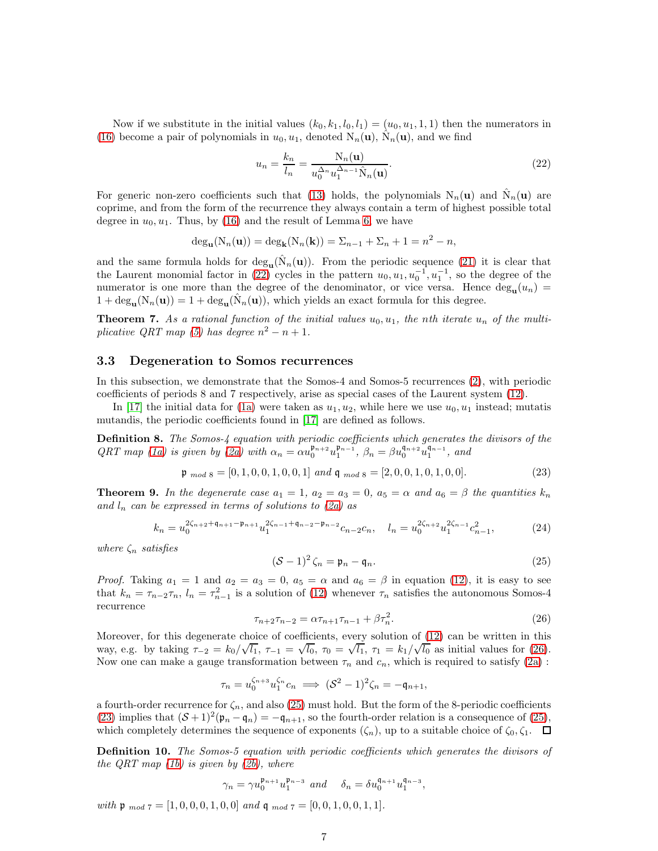Now if we substitute in the initial values  $(k_0, k_1, l_0, l_1) = (u_0, u_1, 1, 1)$  then the numerators in [\(16\)](#page-5-6) become a pair of polynomials in  $u_0, u_1$ , denoted  $N_n(\mathbf{u}), \hat{N}_n(\mathbf{u}),$  and we find

<span id="page-7-1"></span>
$$
u_n = \frac{k_n}{l_n} = \frac{N_n(\mathbf{u})}{u_0^{\Delta_n} u_1^{\Delta_{n-1}} \hat{N}_n(\mathbf{u})}.
$$
\n(22)

For generic non-zero coefficients such that [\(13\)](#page-4-4) holds, the polynomials  $N_n(\mathbf{u})$  and  $\hat{N}_n(\mathbf{u})$  are coprime, and from the form of the recurrence they always contain a term of highest possible total degree in  $u_0, u_1$ . Thus, by [\(16\)](#page-5-6) and the result of Lemma [6,](#page-5-7) we have

$$
\deg_{\mathbf{u}}(N_n(\mathbf{u})) = \deg_{\mathbf{k}}(N_n(\mathbf{k})) = \sum_{n-1} \sum_{n} \frac{1}{n} = n^2 - n,
$$

and the same formula holds for  $\text{deg}_{\mathbf{u}}(\hat{N}_n(\mathbf{u}))$ . From the periodic sequence [\(21\)](#page-5-5) it is clear that the Laurent monomial factor in [\(22\)](#page-6-0) cycles in the pattern  $u_0, u_1, u_0^{-1}, u_1^{-1}$ , so the degree of the numerator is one more than the degree of the denominator, or vice versa. Hence  $\deg_{\mathbf{u}}(u_n)$  $1 + \deg_{\mathbf{u}}(N_n(\mathbf{u})) = 1 + \deg_{\mathbf{u}}(\hat{N}_n(\mathbf{u}))$ , which yields an exact formula for this degree.

**Theorem 7.** As a rational function of the initial values  $u_0, u_1$ , the nth iterate  $u_n$  of the multi-plicative QRT map [\(5\)](#page-1-6) has degree  $n^2 - n + 1$ .

#### 3.3 Degeneration to Somos recurrences

In this subsection, we demonstrate that the Somos-4 and Somos-5 recurrences [\(2\)](#page-1-1), with periodic coefficients of periods 8 and 7 respectively, arise as special cases of the Laurent system [\(12\)](#page-4-0).

In [\[17\]](#page-22-10) the initial data for [\(1a\)](#page-1-7) were taken as  $u_1, u_2$ , while here we use  $u_0, u_1$  instead; mutatis mutandis, the periodic coefficients found in [\[17\]](#page-22-10) are defined as follows.

<span id="page-7-2"></span>**Definition 8.** The Somos-4 equation with periodic coefficients which generates the divisors of the  $QRT$  map [\(1a\)](#page-1-7) is given by [\(2a\)](#page-1-2) with  $\alpha_n = \alpha u_0^{\mathfrak{p}_{n+2}} u_1^{\mathfrak{p}_{n-1}}, \ \beta_n = \beta u_0^{\mathfrak{q}_{n+2}} u_1^{\mathfrak{q}_{n-1}},$  and

$$
\mathfrak{p}_{mod 8} = [0, 1, 0, 0, 1, 0, 0, 1] \ and \ \mathfrak{q}_{mod 8} = [2, 0, 0, 1, 0, 1, 0, 0]. \tag{23}
$$

**Theorem 9.** In the degenerate case  $a_1 = 1$ ,  $a_2 = a_3 = 0$ ,  $a_5 = \alpha$  and  $a_6 = \beta$  the quantities  $k_n$ and  $l_n$  can be expressed in terms of solutions to [\(2a\)](#page-1-2) as

$$
k_n = u_0^{2\zeta_{n+2} + \mathfrak{q}_{n+1} - \mathfrak{p}_{n+1}} u_1^{2\zeta_{n-1} + \mathfrak{q}_{n-2} - \mathfrak{p}_{n-2}} c_{n-2} c_n, \quad l_n = u_0^{2\zeta_{n+2}} u_1^{2\zeta_{n-1}} c_{n-1}^2,
$$
 (24)

where  $\zeta_n$  satisfies

<span id="page-7-0"></span>
$$
(\mathcal{S}-1)^2 \zeta_n = \mathfrak{p}_n - \mathfrak{q}_n. \tag{25}
$$

*Proof.* Taking  $a_1 = 1$  and  $a_2 = a_3 = 0$ ,  $a_5 = \alpha$  and  $a_6 = \beta$  in equation [\(12\)](#page-4-0), it is easy to see that  $k_n = \tau_{n-2}\tau_n$ ,  $l_n = \tau_{n-1}^2$  is a solution of [\(12\)](#page-4-0) whenever  $\tau_n$  satisfies the autonomous Somos-4 recurrence

$$
\tau_{n+2}\tau_{n-2} = \alpha \tau_{n+1}\tau_{n-1} + \beta \tau_n^2.
$$
\n(26)

Moreover, for this degenerate choice of coefficients, every solution of [\(12\)](#page-4-0) can be written in this way, e.g. by taking  $\tau_{-2} = k_0 / \sqrt{l_1}$ ,  $\tau_{-1} = \sqrt{l_0}$ ,  $\tau_0 = \sqrt{l_1}$ ,  $\tau_1 = k_1 / \sqrt{l_0}$  as initial values for [\(26\)](#page-6-1). Now one can make a gauge transformation between  $\tau_n$  and  $c_n$ , which is required to satisfy [\(2a\)](#page-1-2):

$$
\tau_n = u_0^{\zeta_{n+3}} u_1^{\zeta_n} c_n \implies (\mathcal{S}^2 - 1)^2 \zeta_n = -\mathfrak{q}_{n+1},
$$

a fourth-order recurrence for  $\zeta_n$ , and also [\(25\)](#page-6-2) must hold. But the form of the 8-periodic coefficients [\(23\)](#page-6-3) implies that  $(S+1)^2(\mathfrak{p}_n - \mathfrak{q}_n) = -\mathfrak{q}_{n+1}$ , so the fourth-order relation is a consequence of [\(25\)](#page-6-2), which completely determines the sequence of exponents  $(\zeta_n)$ , up to a suitable choice of  $\zeta_0, \zeta_1$ .  $\Box$ 

Definition 10. The Somos-5 equation with periodic coefficients which generates the divisors of the QRT map  $(1b)$  is given by  $(2b)$ , where

<span id="page-7-3"></span>
$$
\gamma_n=\gamma u_0^{\mathfrak{p}_{n+1}}u_1^{\mathfrak{p}_{n-3}}\ \ and \quad \ \delta_n=\delta u_0^{\mathfrak{q}_{n+1}}u_1^{\mathfrak{q}_{n-3}},
$$

with  $\mathfrak{p}_{mod 7} = [1, 0, 0, 0, 1, 0, 0]$  and  $\mathfrak{q}_{mod 7} = [0, 0, 1, 0, 0, 1, 1]$ .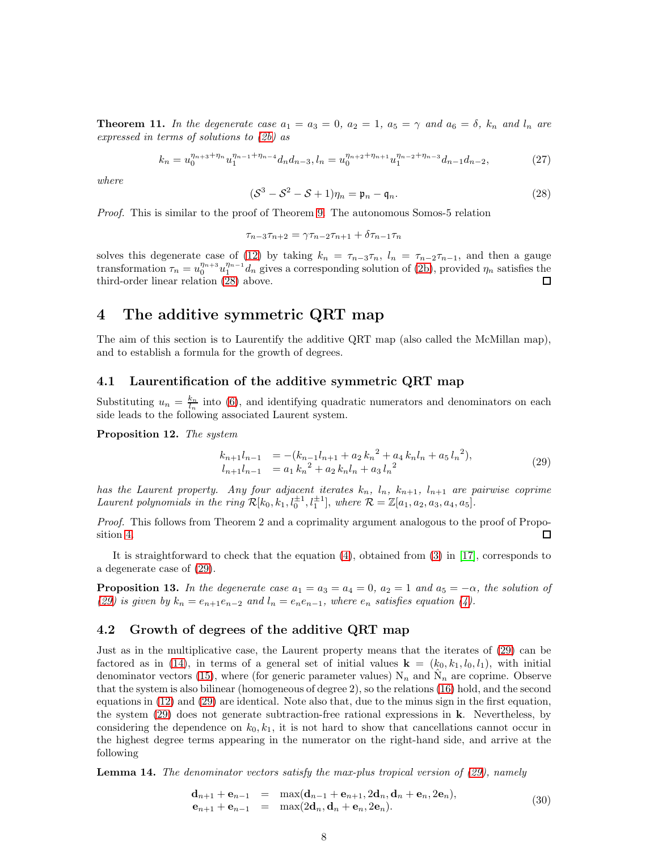**Theorem 11.** In the degenerate case  $a_1 = a_3 = 0$ ,  $a_2 = 1$ ,  $a_5 = \gamma$  and  $a_6 = \delta$ ,  $k_n$  and  $l_n$  are expressed in terms of solutions to [\(2b\)](#page-1-3) as

$$
k_n = u_0^{\eta_{n+3} + \eta_n} u_1^{\eta_{n-1} + \eta_{n-4}} d_n d_{n-3}, \quad\n l_n = u_0^{\eta_{n+2} + \eta_{n+1}} u_1^{\eta_{n-2} + \eta_{n-3}} d_{n-1} d_{n-2},\tag{27}
$$

where

$$
(\mathcal{S}^3 - \mathcal{S}^2 - \mathcal{S} + 1)\eta_n = \mathfrak{p}_n - \mathfrak{q}_n. \tag{28}
$$

Proof. This is similar to the proof of Theorem [9.](#page-6-4) The autonomous Somos-5 relation

<span id="page-8-0"></span>
$$
\tau_{n-3}\tau_{n+2} = \gamma \tau_{n-2}\tau_{n+1} + \delta \tau_{n-1}\tau_n
$$

solves this degenerate case of [\(12\)](#page-4-0) by taking  $k_n = \tau_{n-3}\tau_n$ ,  $l_n = \tau_{n-2}\tau_{n-1}$ , and then a gauge transformation  $\tau_n = u_0^{\eta_{n+3}} u_1^{\eta_{n-1}} d_n$  gives a corresponding solution of [\(2b\)](#page-1-3), provided  $\eta_n$  satisfies the third-order linear relation [\(28\)](#page-7-1) above. □

# 4 The additive symmetric QRT map

The aim of this section is to Laurentify the additive QRT map (also called the McMillan map), and to establish a formula for the growth of degrees.

#### 4.1 Laurentification of the additive symmetric QRT map

Substituting  $u_n = \frac{k_n}{l_n}$  into [\(6\)](#page-2-0), and identifying quadratic numerators and denominators on each side leads to the following associated Laurent system.

Proposition 12. The system

<span id="page-8-2"></span><span id="page-8-1"></span>
$$
k_{n+1}l_{n-1} = -(k_{n-1}l_{n+1} + a_2 k_n^2 + a_4 k_n l_n + a_5 l_n^2),
$$
  
\n
$$
l_{n+1}l_{n-1} = a_1 k_n^2 + a_2 k_n l_n + a_3 l_n^2
$$
\n(29)

has the Laurent property. Any four adjacent iterates  $k_n$ ,  $l_n$ ,  $k_{n+1}$ ,  $l_{n+1}$  are pairwise coprime Laurent polynomials in the ring  $\mathcal{R}[k_0, k_1, l_0^{\pm 1}, l_1^{\pm 1}]$ , where  $\mathcal{R} = \mathbb{Z}[a_1, a_2, a_3, a_4, a_5]$ .

Proof. This follows from Theorem 2 and a coprimality argument analogous to the proof of Proposition [4.](#page-4-5) П

It is straightforward to check that the equation [\(4\)](#page-1-5), obtained from [\(3\)](#page-1-4) in [\[17\]](#page-22-10), corresponds to a degenerate case of [\(29\)](#page-7-0).

**Proposition 13.** In the degenerate case  $a_1 = a_3 = a_4 = 0$ ,  $a_2 = 1$  and  $a_5 = -\alpha$ , the solution of [\(29\)](#page-7-0) is given by  $k_n = e_{n+1}e_{n-2}$  and  $l_n = e_ne_{n-1}$ , where  $e_n$  satisfies equation [\(4\)](#page-1-5).

#### 4.2 Growth of degrees of the additive QRT map

Just as in the multiplicative case, the Laurent property means that the iterates of [\(29\)](#page-7-0) can be factored as in [\(14\)](#page-4-6), in terms of a general set of initial values  $\mathbf{k} = (k_0, k_1, l_0, l_1)$ , with initial denominator vectors [\(15\)](#page-4-3), where (for generic parameter values)  $N_n$  and  $\hat{N}_n$  are coprime. Observe that the system is also bilinear (homogeneous of degree 2), so the relations [\(16\)](#page-5-6) hold, and the second equations in [\(12\)](#page-4-0) and [\(29\)](#page-7-0) are identical. Note also that, due to the minus sign in the first equation, the system  $(29)$  does not generate subtraction-free rational expressions in **k**. Nevertheless, by considering the dependence on  $k_0, k_1$ , it is not hard to show that cancellations cannot occur in the highest degree terms appearing in the numerator on the right-hand side, and arrive at the following

**Lemma 14.** The denominator vectors satisfy the max-plus tropical version of  $(29)$ , namely

$$
\begin{array}{rcl}\n\mathbf{d}_{n+1} + \mathbf{e}_{n-1} & = & \max(\mathbf{d}_{n-1} + \mathbf{e}_{n+1}, 2\mathbf{d}_n, \mathbf{d}_n + \mathbf{e}_n, 2\mathbf{e}_n), \\
\mathbf{e}_{n+1} + \mathbf{e}_{n-1} & = & \max(2\mathbf{d}_n, \mathbf{d}_n + \mathbf{e}_n, 2\mathbf{e}_n).\n\end{array} \tag{30}
$$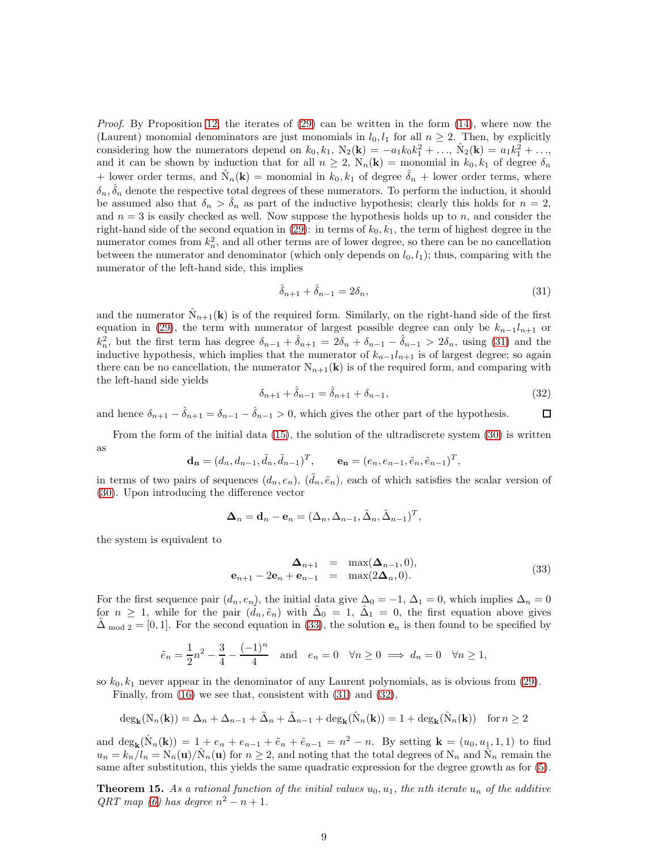<span id="page-9-3"></span>*Proof.* By Proposition [12,](#page-7-2) the iterates of  $(29)$  can be written in the form  $(14)$ , where now the (Laurent) monomial denominators are just monomials in  $l_0, l_1$  for all  $n \geq 2$ . Then, by explicitly considering how the numerators depend on  $k_0, k_1, N_2(\mathbf{k}) = -a_1k_0k_1^2 + ..., \hat{N}_2(\mathbf{k}) = a_1k_1^2 + ...,$ and it can be shown by induction that for all  $n \geq 2$ ,  $N_n(\mathbf{k}) =$  monomial in  $k_0, k_1$  of degree  $\delta_n$ + lower order terms, and  $\hat{N}_n(\mathbf{k})$  = monomial in  $k_0, k_1$  of degree  $\hat{\delta}_n$  + lower order terms, where  $\delta_n, \hat{\delta}_n$  denote the respective total degrees of these numerators. To perform the induction, it should be assumed also that  $\delta_n > \delta_n$  as part of the inductive hypothesis; clearly this holds for  $n = 2$ , and  $n = 3$  is easily checked as well. Now suppose the hypothesis holds up to n, and consider the right-hand side of the second equation in [\(29\)](#page-7-0): in terms of  $k_0, k_1$ , the term of highest degree in the numerator comes from  $k_n^2$ , and all other terms are of lower degree, so there can be no cancellation between the numerator and denominator (which only depends on  $l_0, l_1$ ); thus, comparing with the numerator of the left-hand side, this implies

$$
\hat{\delta}_{n+1} + \hat{\delta}_{n-1} = 2\delta_n,\tag{31}
$$

<span id="page-9-0"></span>and the numerator  $\hat{N}_{n+1}(\mathbf{k})$  is of the required form. Similarly, on the right-hand side of the first equation in [\(29\)](#page-7-0), the term with numerator of largest possible degree can only be  $k_{n-1}l_{n+1}$  or  $k_n^2$ , but the first term has degree  $\delta_{n-1} + \hat{\delta}_{n+1} = 2\delta_n + \delta_{n-1} - \hat{\delta}_{n-1} > 2\delta_n$ , using [\(31\)](#page-8-0) and the inductive hypothesis, which implies that the numerator of  $k_{n-1}l_{n+1}$  is of largest degree; so again there can be no cancellation, the numerator  $N_{n+1}(\mathbf{k})$  is of the required form, and comparing with the left-hand side yields

<span id="page-9-4"></span>
$$
\delta_{n+1} + \hat{\delta}_{n-1} = \hat{\delta}_{n+1} + \delta_{n-1},\tag{32}
$$

and hence  $\delta_{n+1} - \hat{\delta}_{n+1} = \delta_{n-1} - \hat{\delta}_{n-1} > 0$ , which gives the other part of the hypothesis. □

From the form of the initial data [\(15\)](#page-4-3), the solution of the ultradiscrete system [\(30\)](#page-7-3) is written as

$$
\mathbf{d}_{\mathbf{n}} = (d_n, d_{n-1}, \tilde{d}_n, \tilde{d}_{n-1})^T, \qquad \mathbf{e}_{\mathbf{n}} = (e_n, e_{n-1}, \tilde{e}_n, \tilde{e}_{n-1})^T,
$$

in terms of two pairs of sequences  $(d_n, e_n)$ ,  $(\tilde{d}_n, \tilde{e}_n)$ , each of which satisfies the scalar version of [\(30\)](#page-7-3). Upon introducing the difference vector

<span id="page-9-1"></span>
$$
\mathbf{\Delta}_n = \mathbf{d}_n - \mathbf{e}_n = (\Delta_n, \Delta_{n-1}, \tilde{\Delta}_n, \tilde{\Delta}_{n-1})^T,
$$

the system is equivalent to

$$
\begin{array}{rcl}\n\Delta_{n+1} & = & \max(\Delta_{n-1}, 0), \\
\mathbf{e}_{n+1} - 2\mathbf{e}_n + \mathbf{e}_{n-1} & = & \max(2\Delta_n, 0).\n\end{array} \tag{33}
$$

<span id="page-9-2"></span>For the first sequence pair  $(d_n, e_n)$ , the initial data give  $\Delta_0 = -1$ ,  $\Delta_1 = 0$ , which implies  $\Delta_n = 0$ for  $n \geq 1$ , while for the pair  $(\tilde{d}_n, \tilde{e}_n)$  with  $\tilde{\Delta}_0 = 1$ ,  $\tilde{\Delta}_1 = 0$ , the first equation above gives  $\Delta_{\text{mod }2} = [0, 1]$ . For the second equation in [\(33\)](#page-8-1), the solution  $e_n$  is then found to be specified by

$$
\tilde{e}_n = \frac{1}{2}n^2 - \frac{3}{4} - \frac{(-1)^n}{4}
$$
 and  $e_n = 0 \quad \forall n \ge 0 \implies d_n = 0 \quad \forall n \ge 1$ ,

so  $k_0, k_1$  never appear in the denominator of any Laurent polynomials, as is obvious from [\(29\)](#page-7-0).

Finally, from [\(16\)](#page-5-6) we see that, consistent with [\(31\)](#page-8-0) and [\(32\)](#page-8-2),

$$
\deg_{\mathbf{k}}(N_n(\mathbf{k})) = \Delta_n + \Delta_{n-1} + \tilde{\Delta}_n + \tilde{\Delta}_{n-1} + \deg_{\mathbf{k}}(\hat{N}_n(\mathbf{k})) = 1 + \deg_{\mathbf{k}}(\hat{N}_n(\mathbf{k})) \quad \text{for } n \ge 2
$$

and  $\deg_{\mathbf{k}}(\hat{N}_n(\mathbf{k})) = 1 + e_n + e_{n-1} + \tilde{e}_n + \tilde{e}_{n-1} = n^2 - n$ . By setting  $\mathbf{k} = (u_0, u_1, 1, 1)$  to find  $u_n = k_n / l_n = N_n(\mathbf{u}) / N_n(\mathbf{u})$  for  $n \geq 2$ , and noting that the total degrees of  $N_n$  and  $\hat{N}_n$  remain the same after substitution, this yields the same quadratic expression for the degree growth as for [\(5\)](#page-1-6).

**Theorem 15.** As a rational function of the initial values  $u_0, u_1$ , the nth iterate  $u_n$  of the additive  $QRT$  map [\(6\)](#page-2-0) has degree  $n^2 - n + 1$ .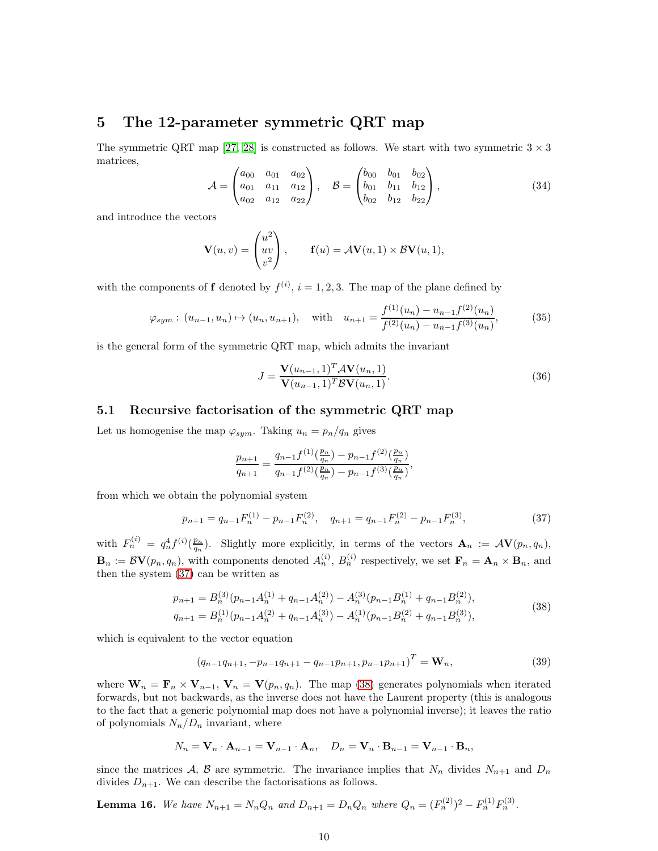# 5 The 12-parameter symmetric QRT map

The symmetric QRT map [\[27,](#page-22-8) [28\]](#page-23-0) is constructed as follows. We start with two symmetric  $3 \times 3$ matrices,

$$
\mathcal{A} = \begin{pmatrix} a_{00} & a_{01} & a_{02} \\ a_{01} & a_{11} & a_{12} \\ a_{02} & a_{12} & a_{22} \end{pmatrix}, \quad \mathcal{B} = \begin{pmatrix} b_{00} & b_{01} & b_{02} \\ b_{01} & b_{11} & b_{12} \\ b_{02} & b_{12} & b_{22} \end{pmatrix}, \tag{34}
$$

and introduce the vectors

$$
\mathbf{V}(u,v) = \begin{pmatrix} u^2 \\ uv \\ v^2 \end{pmatrix}, \quad \mathbf{f}(u) = \mathcal{A}\mathbf{V}(u,1) \times \mathcal{B}\mathbf{V}(u,1),
$$

<span id="page-10-0"></span>with the components of **f** denoted by  $f^{(i)}$ ,  $i = 1, 2, 3$ . The map of the plane defined by

$$
\varphi_{sym}: (u_{n-1}, u_n) \mapsto (u_n, u_{n+1}),
$$
 with  $u_{n+1} = \frac{f^{(1)}(u_n) - u_{n-1}f^{(2)}(u_n)}{f^{(2)}(u_n) - u_{n-1}f^{(3)}(u_n)},$ \n(35)

is the general form of the symmetric QRT map, which admits the invariant

$$
J = \frac{\mathbf{V}(u_{n-1}, 1)^T \mathbf{A} \mathbf{V}(u_n, 1)}{\mathbf{V}(u_{n-1}, 1)^T \mathbf{B} \mathbf{V}(u_n, 1)}.
$$
(36)

#### 5.1 Recursive factorisation of the symmetric QRT map

Let us homogenise the map  $\varphi_{sym}$ . Taking  $u_n = p_n/q_n$  gives

<span id="page-10-2"></span>
$$
\frac{p_{n+1}}{q_{n+1}} = \frac{q_{n-1}f^{(1)}(\frac{p_n}{q_n}) - p_{n-1}f^{(2)}(\frac{p_n}{q_n})}{q_{n-1}f^{(2)}(\frac{p_n}{q_n}) - p_{n-1}f^{(3)}(\frac{p_n}{q_n})},
$$

<span id="page-10-1"></span>from which we obtain the polynomial system

$$
p_{n+1} = q_{n-1} F_n^{(1)} - p_{n-1} F_n^{(2)}, \quad q_{n+1} = q_{n-1} F_n^{(2)} - p_{n-1} F_n^{(3)}, \tag{37}
$$

with  $F_n^{(i)} = q_n^4 f^{(i)}(\frac{p_n}{q_n})$ . Slightly more explicitly, in terms of the vectors  $\mathbf{A}_n := \mathcal{A} \mathbf{V}(p_n, q_n)$ ,  $\mathbf{B}_n := \mathcal{B} \mathbf{V}(p_n, q_n)$ , with components denoted  $A_n^{(i)}$ ,  $B_n^{(i)}$  respectively, we set  $\mathbf{F}_n = \mathbf{A}_n \times \mathbf{B}_n$ , and then the system [\(37\)](#page-9-1) can be written as

$$
p_{n+1} = B_n^{(3)}(p_{n-1}A_n^{(1)} + q_{n-1}A_n^{(2)}) - A_n^{(3)}(p_{n-1}B_n^{(1)} + q_{n-1}B_n^{(2)}),
$$
  
\n
$$
q_{n+1} = B_n^{(1)}(p_{n-1}A_n^{(2)} + q_{n-1}A_n^{(3)}) - A_n^{(1)}(p_{n-1}B_n^{(2)} + q_{n-1}B_n^{(3)}),
$$
\n(38)

which is equivalent to the vector equation

$$
(q_{n-1}q_{n+1}, -p_{n-1}q_{n+1} - q_{n-1}p_{n+1}, p_{n-1}p_{n+1})^T = \mathbf{W}_n,
$$
\n(39)

where  $\mathbf{W}_n = \mathbf{F}_n \times \mathbf{V}_{n-1}$ ,  $\mathbf{V}_n = \mathbf{V}(p_n, q_n)$ . The map [\(38\)](#page-9-2) generates polynomials when iterated forwards, but not backwards, as the inverse does not have the Laurent property (this is analogous to the fact that a generic polynomial map does not have a polynomial inverse); it leaves the ratio of polynomials  $N_n/D_n$  invariant, where

$$
N_n = \mathbf{V}_n \cdot \mathbf{A}_{n-1} = \mathbf{V}_{n-1} \cdot \mathbf{A}_n, \quad D_n = \mathbf{V}_n \cdot \mathbf{B}_{n-1} = \mathbf{V}_{n-1} \cdot \mathbf{B}_n,
$$

since the matrices A, B are symmetric. The invariance implies that  $N_n$  divides  $N_{n+1}$  and  $D_n$ divides  $D_{n+1}$ . We can describe the factorisations as follows.

**Lemma 16.** We have  $N_{n+1} = N_n Q_n$  and  $D_{n+1} = D_n Q_n$  where  $Q_n = (F_n^{(2)})^2 - F_n^{(1)} F_n^{(3)}$ .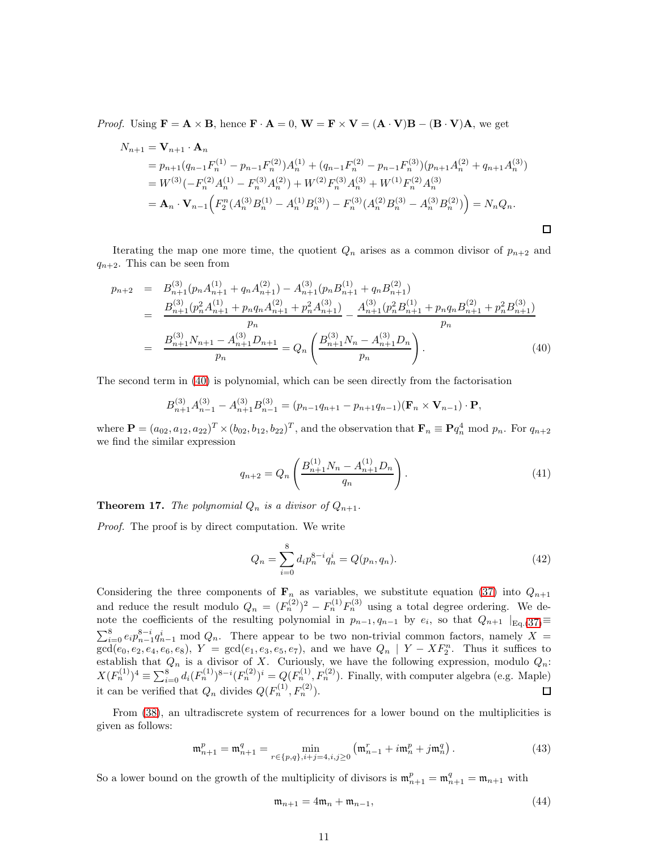*Proof.* Using  $\mathbf{F} = \mathbf{A} \times \mathbf{B}$ , hence  $\mathbf{F} \cdot \mathbf{A} = 0$ ,  $\mathbf{W} = \mathbf{F} \times \mathbf{V} = (\mathbf{A} \cdot \mathbf{V})\mathbf{B} - (\mathbf{B} \cdot \mathbf{V})\mathbf{A}$ , we get

$$
N_{n+1} = \mathbf{V}_{n+1} \cdot \mathbf{A}_n
$$
  
=  $p_{n+1}(q_{n-1}F_n^{(1)} - p_{n-1}F_n^{(2)})A_n^{(1)} + (q_{n-1}F_n^{(2)} - p_{n-1}F_n^{(3)})(p_{n+1}A_n^{(2)} + q_{n+1}A_n^{(3)})$   
=  $W^{(3)}(-F_n^{(2)}A_n^{(1)} - F_n^{(3)}A_n^{(2)}) + W^{(2)}F_n^{(3)}A_n^{(3)} + W^{(1)}F_n^{(2)}A_n^{(3)}$   
=  $\mathbf{A}_n \cdot \mathbf{V}_{n-1}\Big(F_2^n(A_n^{(3)}B_n^{(1)} - A_n^{(1)}B_n^{(3)}) - F_n^{(3)}(A_n^{(2)}B_n^{(3)} - A_n^{(3)}B_n^{(2)})\Big) = N_nQ_n.$ 

Iterating the map one more time, the quotient  $Q_n$  arises as a common divisor of  $p_{n+2}$  and  $q_{n+2}$ . This can be seen from

<span id="page-11-1"></span>
$$
p_{n+2} = B_{n+1}^{(3)}(p_n A_{n+1}^{(1)} + q_n A_{n+1}^{(2)}) - A_{n+1}^{(3)}(p_n B_{n+1}^{(1)} + q_n B_{n+1}^{(2)})
$$
  
\n
$$
= \frac{B_{n+1}^{(3)}(p_n^2 A_{n+1}^{(1)} + p_n q_n A_{n+1}^{(2)} + p_n^2 A_{n+1}^{(3)})}{p_n} - \frac{A_{n+1}^{(3)}(p_n^2 B_{n+1}^{(1)} + p_n q_n B_{n+1}^{(2)} + p_n^2 B_{n+1}^{(3)})}{p_n}
$$
  
\n
$$
= \frac{B_{n+1}^{(3)} N_{n+1} - A_{n+1}^{(3)} D_{n+1}}{p_n} = Q_n \left( \frac{B_{n+1}^{(3)} N_n - A_{n+1}^{(3)} D_n}{p_n} \right).
$$
 (40)

The second term in [\(40\)](#page-10-0) is polynomial, which can be seen directly from the factorisation

$$
B_{n+1}^{(3)}A_{n-1}^{(3)} - A_{n+1}^{(3)}B_{n-1}^{(3)} = (p_{n-1}q_{n+1} - p_{n+1}q_{n-1})(\mathbf{F}_n \times \mathbf{V}_{n-1}) \cdot \mathbf{P},
$$

where  $\mathbf{P} = (a_{02}, a_{12}, a_{22})^T \times (b_{02}, b_{12}, b_{22})^T$ , and the observation that  $\mathbf{F}_n \equiv \mathbf{P} q_n^4 \mod p_n$ . For  $q_{n+2}$ we find the similar expression

$$
q_{n+2} = Q_n \left( \frac{B_{n+1}^{(1)} N_n - A_{n+1}^{(1)} D_n}{q_n} \right). \tag{41}
$$

<span id="page-11-2"></span><span id="page-11-0"></span> $\Box$ 

**Theorem 17.** The polynomial  $Q_n$  is a divisor of  $Q_{n+1}$ .

Proof. The proof is by direct computation. We write

$$
Q_n = \sum_{i=0}^{8} d_i p_n^{8-i} q_n^i = Q(p_n, q_n). \tag{42}
$$

<span id="page-11-3"></span>Considering the three components of  $\mathbf{F}_n$  as variables, we substitute equation [\(37\)](#page-9-1) into  $Q_{n+1}$ and reduce the result modulo  $Q_n = (F_n^{(2)})^2 - F_n^{(1)}F_n^{(3)}$  using a total degree ordering. We denote the coefficients of the resulting polynomial in  $p_{n-1}, q_{n-1}$  by  $e_i$ , so that  $Q_{n+1} |_{\text{Eq.}(37)} \equiv$  $Q_{n+1} |_{\text{Eq.}(37)} \equiv$  $Q_{n+1} |_{\text{Eq.}(37)} \equiv$  $\sum_{i=0}^{8} e_i p_{n-1}^{8-i} q_{n-1}^i \mod Q_n$ . There appear to be two non-trivial common factors, namely X =  $\sum_{i=0}^{n} e_i p_{n-1} q_{n-1}$  mod  $Q_n$ . There appear to be two non-trivial common factors, namely  $X = \gcd(e_0, e_2, e_4, e_6, e_8)$ ,  $Y = \gcd(e_1, e_3, e_5, e_7)$ , and we have  $Q_n \mid Y - XF_2^n$ . Thus it suffices to establish that  $Q_n$  is a divisor of X. Curiously, we have the following expression, modulo  $Q_n$ :  $X(F_n^{(1)})^4 \equiv \sum_{i=0}^8 d_i (F_n^{(1)})^{8-i} (F_n^{(2)})^i = Q(F_n^{(1)}, F_n^{(2)})$ . Finally, with computer algebra (e.g. Maple) it can be verified that  $Q_n$  divides  $Q(F_n^{(1)}, F_n^{(2)})$ .

From [\(38\)](#page-9-2), an ultradiscrete system of recurrences for a lower bound on the multiplicities is given as follows:

$$
\mathfrak{m}_{n+1}^p = \mathfrak{m}_{n+1}^q = \min_{r \in \{p,q\}, i+j=4, i,j \ge 0} \left( \mathfrak{m}_{n-1}^r + i \mathfrak{m}_n^p + j \mathfrak{m}_n^q \right). \tag{43}
$$

So a lower bound on the growth of the multiplicity of divisors is  $\mathfrak{m}_{n+1}^p = \mathfrak{m}_{n+1}^q = \mathfrak{m}_{n+1}$  with

$$
\mathfrak{m}_{n+1} = 4\mathfrak{m}_n + \mathfrak{m}_{n-1},\tag{44}
$$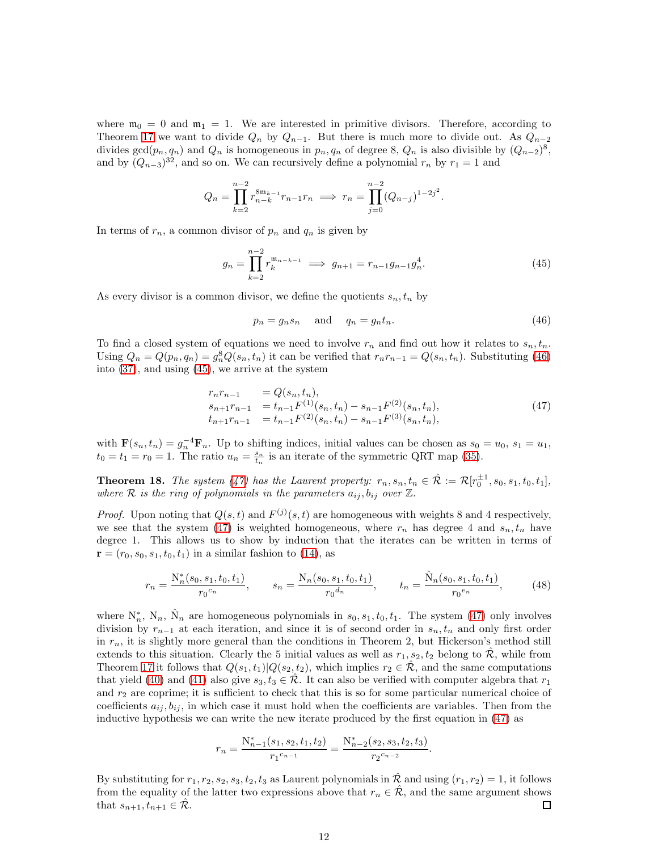<span id="page-12-0"></span>where  $\mathfrak{m}_0 = 0$  and  $\mathfrak{m}_1 = 1$ . We are interested in primitive divisors. Therefore, according to Theorem [17](#page-10-1) we want to divide  $Q_n$  by  $Q_{n-1}$ . But there is much more to divide out. As  $Q_{n-2}$ divides  $gcd(p_n, q_n)$  and  $Q_n$  is homogeneous in  $p_n, q_n$  of degree 8,  $Q_n$  is also divisible by  $(Q_{n-2})^8$ , and by  $(Q_{n-3})^{32}$ , and so on. We can recursively define a polynomial  $r_n$  by  $r_1 = 1$  and

$$
Q_n = \prod_{k=2}^{n-2} r_{n-k}^{8m_{k-1}} r_{n-1} r_n \implies r_n = \prod_{j=0}^{n-2} (Q_{n-j})^{1-2j^2}.
$$

In terms of  $r_n$ , a common divisor of  $p_n$  and  $q_n$  is given by

$$
g_n = \prod_{k=2}^{n-2} r_k^{\mathfrak{m}_{n-k-1}} \implies g_{n+1} = r_{n-1}g_{n-1}g_n^4.
$$
 (45)

As every divisor is a common divisor, we define the quotients  $s_n, t_n$  by

$$
p_n = g_n s_n \quad \text{and} \quad q_n = g_n t_n. \tag{46}
$$

To find a closed system of equations we need to involve  $r_n$  and find out how it relates to  $s_n, t_n$ . Using  $Q_n = Q(p_n, q_n) = g_n^8 Q(s_n, t_n)$  it can be verified that  $r_n r_{n-1} = Q(s_n, t_n)$ . Substituting [\(46\)](#page-11-0) into [\(37\)](#page-9-1), and using [\(45\)](#page-11-1), we arrive at the system

$$
r_n r_{n-1} = Q(s_n, t_n),
$$
  
\n
$$
s_{n+1} r_{n-1} = t_{n-1} F^{(1)}(s_n, t_n) - s_{n-1} F^{(2)}(s_n, t_n),
$$
  
\n
$$
t_{n+1} r_{n-1} = t_{n-1} F^{(2)}(s_n, t_n) - s_{n-1} F^{(3)}(s_n, t_n),
$$
\n
$$
(47)
$$

with  $\mathbf{F}(s_n, t_n) = g_n^{-4} \mathbf{F}_n$ . Up to shifting indices, initial values can be chosen as  $s_0 = u_0$ ,  $s_1 = u_1$ ,  $t_0 = t_1 = r_0 = 1$ . The ratio  $u_n = \frac{s_n}{t_n}$  is an iterate of the symmetric QRT map [\(35\)](#page-9-0).

**Theorem 18.** The system [\(47\)](#page-11-2) has the Laurent property:  $r_n, s_n, t_n \in \hat{\mathcal{R}} := \mathcal{R}[r_0^{\pm 1}, s_0, s_1, t_0, t_1],$ where R is the ring of polynomials in the parameters  $a_{ij}, b_{ij}$  over  $\mathbb{Z}$ .

*Proof.* Upon noting that  $Q(s,t)$  and  $F^{(j)}(s,t)$  are homogeneous with weights 8 and 4 respectively, we see that the system [\(47\)](#page-11-2) is weighted homogeneous, where  $r_n$  has degree 4 and  $s_n, t_n$  have degree 1. This allows us to show by induction that the iterates can be written in terms of  ${\bf r} = (r_0, s_0, s_1, t_0, t_1)$  in a similar fashion to [\(14\)](#page-4-6), as

<span id="page-12-2"></span><span id="page-12-1"></span>
$$
r_n = \frac{N_n^*(s_0, s_1, t_0, t_1)}{r_0^{c_n}}, \qquad s_n = \frac{N_n(s_0, s_1, t_0, t_1)}{r_0^{d_n}}, \qquad t_n = \frac{\hat{N}_n(s_0, s_1, t_0, t_1)}{r_0^{e_n}},\tag{48}
$$

where  $N_n^*$ ,  $N_n$ ,  $\hat{N}_n$  are homogeneous polynomials in  $s_0, s_1, t_0, t_1$ . The system [\(47\)](#page-11-2) only involves division by  $r_{n-1}$  at each iteration, and since it is of second order in  $s_n, t_n$  and only first order in  $r_n$ , it is slightly more general than the conditions in Theorem 2, but Hickerson's method still extends to this situation. Clearly the 5 initial values as well as  $r_1, s_2, t_2$  belong to  $\mathcal{R}$ , while from Theorem [17](#page-10-1) it follows that  $Q(s_1, t_1)|Q(s_2, t_2)$ , which implies  $r_2 \in \mathcal{R}$ , and the same computations that yield [\(40\)](#page-10-0) and [\(41\)](#page-10-2) also give  $s_3, t_3 \in \mathcal{R}$ . It can also be verified with computer algebra that  $r_1$ and  $r_2$  are coprime; it is sufficient to check that this is so for some particular numerical choice of coefficients  $a_{ij}, b_{ij}$ , in which case it must hold when the coefficients are variables. Then from the inductive hypothesis we can write the new iterate produced by the first equation in [\(47\)](#page-11-2) as

$$
r_n = \frac{N_{n-1}^*(s_1, s_2, t_1, t_2)}{r_1^{c_{n-1}}} = \frac{N_{n-2}^*(s_2, s_3, t_2, t_3)}{r_2^{c_{n-2}}}.
$$

<span id="page-12-3"></span>By substituting for  $r_1, r_2, s_2, s_3, t_2, t_3$  as Laurent polynomials in  $\mathcal R$  and using  $(r_1, r_2) = 1$ , it follows from the equality of the latter two expressions above that  $r_n \in \hat{\mathcal{R}}$ , and the same argument shows that  $s_{n+1}, t_{n+1} \in \hat{\mathcal{R}}$ . that  $s_{n+1}, t_{n+1} \in \mathcal{R}$ .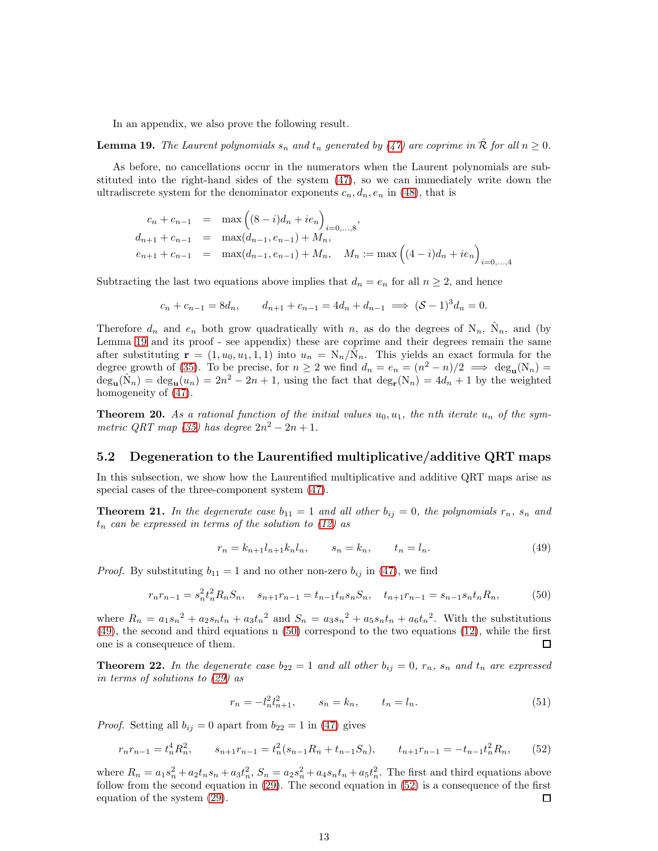In an appendix, we also prove the following result.

**Lemma 19.** The Laurent polynomials  $s_n$  and  $t_n$  generated by [\(47\)](#page-11-2) are coprime in  $\hat{\mathcal{R}}$  for all  $n \geq 0$ .

As before, no cancellations occur in the numerators when the Laurent polynomials are substituted into the right-hand sides of the system [\(47\)](#page-11-2), so we can immediately write down the ultradiscrete system for the denominator exponents  $c_n, d_n, e_n$  in [\(48\)](#page-11-3), that is

<span id="page-13-4"></span>
$$
c_n + c_{n-1} = \max ((8 - i)d_n + ie_n)_{i=0,...,8},
$$
  
\n
$$
d_{n+1} + c_{n-1} = \max(d_{n-1}, e_{n-1}) + M_n,
$$
  
\n
$$
e_{n+1} + c_{n-1} = \max(d_{n-1}, e_{n-1}) + M_n, \quad M_n := \max ((4 - i)d_n + ie_n)_{i=0,...,4}
$$

Subtracting the last two equations above implies that  $d_n = e_n$  for all  $n \geq 2$ , and hence

<span id="page-13-5"></span><span id="page-13-0"></span>
$$
c_n + c_{n-1} = 8d_n
$$
,  $d_{n+1} + c_{n-1} = 4d_n + d_{n-1} \implies (\mathcal{S} - 1)^3 d_n = 0$ .

<span id="page-13-3"></span>Therefore  $d_n$  and  $e_n$  both grow quadratically with n, as do the degrees of  $N_n$ ,  $\hat{N}_n$ , and (by Lemma [19](#page-12-0) and its proof - see appendix) these are coprime and their degrees remain the same after substituting  $\mathbf{r} = (1, u_0, u_1, 1, 1)$  into  $u_n = \frac{N_n}{\tilde{N}_n}$ . This yields an exact formula for the degree growth of [\(35\)](#page-9-0). To be precise, for  $n \ge 2$  we find  $d_n = e_n = (n^2 - n)/2 \implies \deg_u(N_n) =$  $\deg_{\mathbf{u}}(\hat{\mathbf{N}}_n) = \deg_{\mathbf{u}}(u_n) = 2n^2 - 2n + 1$ , using the fact that  $\deg_{\mathbf{r}}(\mathbf{N}_n) = 4d_n + 1$  by the weighted homogeneity of [\(47\)](#page-11-2).

<span id="page-13-2"></span>**Theorem 20.** As a rational function of the initial values  $u_0, u_1$ , the nth iterate  $u_n$  of the sym-metric QRT map [\(35\)](#page-9-0) has degree  $2n^2 - 2n + 1$ .

#### 5.2 Degeneration to the Laurentified multiplicative/additive QRT maps

In this subsection, we show how the Laurentified multiplicative and additive QRT maps arise as special cases of the three-component system [\(47\)](#page-11-2).

**Theorem 21.** In the degenerate case  $b_{11} = 1$  and all other  $b_{ij} = 0$ , the polynomials  $r_n$ ,  $s_n$  and  $t_n$  can be expressed in terms of the solution to [\(12\)](#page-4-0) as

$$
r_n = k_{n+1}l_{n+1}k_n l_n, \t s_n = k_n, \t t_n = l_n.
$$
\t(49)

*Proof.* By substituting  $b_{11} = 1$  and no other non-zero  $b_{ij}$  in [\(47\)](#page-11-2), we find

$$
r_n r_{n-1} = s_n^2 t_n^2 R_n S_n, \quad s_{n+1} r_{n-1} = t_{n-1} t_n s_n S_n, \quad t_{n+1} r_{n-1} = s_{n-1} s_n t_n R_n,\tag{50}
$$

where  $R_n = a_1s_n^2 + a_2s_nt_n + a_3t_n^2$  and  $S_n = a_3s_n^2 + a_5s_nt_n + a_6t_n^2$ . With the substitutions [\(49\)](#page-12-1), the second and third equations n [\(50\)](#page-12-2) correspond to the two equations [\(12\)](#page-4-0), while the first one is a consequence of them. □

**Theorem 22.** In the degenerate case  $b_{22} = 1$  and all other  $b_{ij} = 0$ ,  $r_n$ ,  $s_n$  and  $t_n$  are expressed in terms of solutions to [\(29\)](#page-7-0) as

<span id="page-13-1"></span>
$$
r_n = -l_n^2 l_{n+1}^2, \qquad s_n = k_n, \qquad t_n = l_n. \tag{51}
$$

*Proof.* Setting all  $b_{ij} = 0$  apart from  $b_{22} = 1$  in [\(47\)](#page-11-2) gives

$$
r_n r_{n-1} = t_n^4 R_n^2, \qquad s_{n+1} r_{n-1} = t_n^2 (s_{n-1} R_n + t_{n-1} S_n), \qquad t_{n+1} r_{n-1} = -t_{n-1} t_n^2 R_n,\tag{52}
$$

where  $R_n = a_1 s_n^2 + a_2 t_n s_n + a_3 t_n^2$ ,  $S_n = a_2 s_n^2 + a_4 s_n t_n + a_5 t_n^2$ . The first and third equations above follow from the second equation in [\(29\)](#page-7-0). The second equation in [\(52\)](#page-12-3) is a consequence of the first equation of the system [\(29\)](#page-7-0). □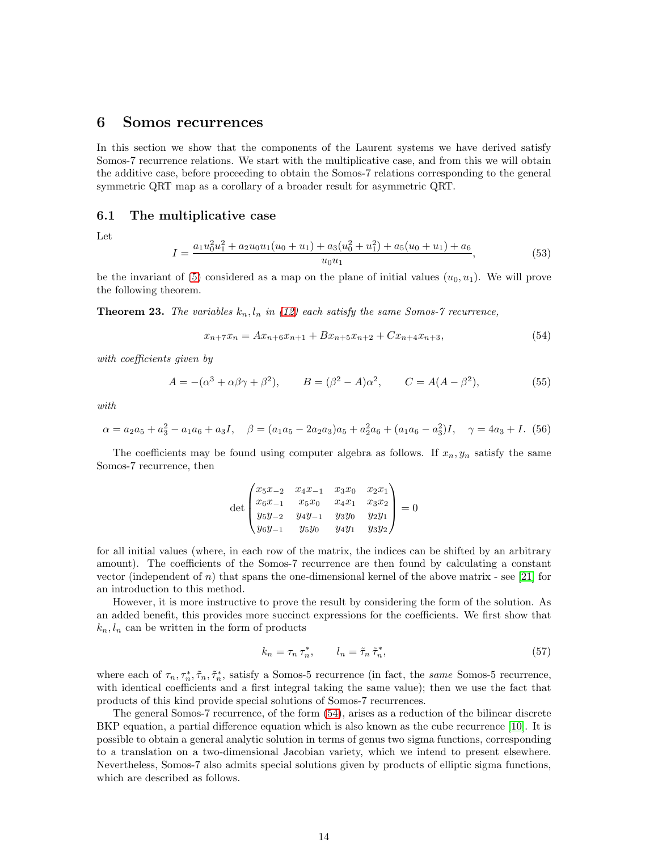### 6 Somos recurrences

In this section we show that the components of the Laurent systems we have derived satisfy Somos-7 recurrence relations. We start with the multiplicative case, and from this we will obtain the additive case, before proceeding to obtain the Somos-7 relations corresponding to the general symmetric QRT map as a corollary of a broader result for asymmetric QRT.

#### 6.1 The multiplicative case

Let

<span id="page-14-3"></span><span id="page-14-1"></span><span id="page-14-0"></span>
$$
I = \frac{a_1 u_0^2 u_1^2 + a_2 u_0 u_1 (u_0 + u_1) + a_3 (u_0^2 + u_1^2) + a_5 (u_0 + u_1) + a_6}{u_0 u_1},
$$
\n
$$
(53)
$$

be the invariant of [\(5\)](#page-1-6) considered as a map on the plane of initial values  $(u_0, u_1)$ . We will prove the following theorem.

**Theorem 23.** The variables  $k_n, l_n$  in [\(12\)](#page-4-0) each satisfy the same Somos-7 recurrence,

<span id="page-14-6"></span>
$$
x_{n+7}x_n = Ax_{n+6}x_{n+1} + Bx_{n+5}x_{n+2} + Cx_{n+4}x_{n+3},
$$
\n(54)

with coefficients given by

$$
A = -(\alpha^3 + \alpha\beta\gamma + \beta^2),
$$
  $B = (\beta^2 - A)\alpha^2,$   $C = A(A - \beta^2),$  (55)

with

$$
\alpha = a_2 a_5 + a_3^2 - a_1 a_6 + a_3 I, \quad \beta = (a_1 a_5 - 2 a_2 a_3) a_5 + a_2^2 a_6 + (a_1 a_6 - a_3^2) I, \quad \gamma = 4 a_3 + I. \tag{56}
$$

The coefficients may be found using computer algebra as follows. If  $x_n, y_n$  satisfy the same Somos-7 recurrence, then

<span id="page-14-9"></span><span id="page-14-5"></span><span id="page-14-2"></span>
$$
\det \begin{pmatrix} x_5x_{-2} & x_4x_{-1} & x_3x_0 & x_2x_1 \\ x_6x_{-1} & x_5x_0 & x_4x_1 & x_3x_2 \\ y_5y_{-2} & y_4y_{-1} & y_3y_0 & y_2y_1 \\ y_6y_{-1} & y_5y_0 & y_4y_1 & y_3y_2 \end{pmatrix} = 0
$$

for all initial values (where, in each row of the matrix, the indices can be shifted by an arbitrary amount). The coefficients of the Somos-7 recurrence are then found by calculating a constant vector (independent of  $n$ ) that spans the one-dimensional kernel of the above matrix - see [\[21\]](#page-22-17) for an introduction to this method.

However, it is more instructive to prove the result by considering the form of the solution. As an added benefit, this provides more succinct expressions for the coefficients. We first show that  $k_n, l_n$  can be written in the form of products

$$
k_n = \tau_n \tau_n^*, \qquad l_n = \tilde{\tau}_n \tilde{\tau}_n^*, \tag{57}
$$

<span id="page-14-7"></span><span id="page-14-4"></span>where each of  $\tau_n, \tau_n^*, \tilde{\tau}_n, \tilde{\tau}_n^*$ , satisfy a Somos-5 recurrence (in fact, the *same* Somos-5 recurrence, with identical coefficients and a first integral taking the same value); then we use the fact that products of this kind provide special solutions of Somos-7 recurrences.

<span id="page-14-8"></span>The general Somos-7 recurrence, of the form [\(54\)](#page-13-0), arises as a reduction of the bilinear discrete BKP equation, a partial difference equation which is also known as the cube recurrence [\[10\]](#page-22-1). It is possible to obtain a general analytic solution in terms of genus two sigma functions, corresponding to a translation on a two-dimensional Jacobian variety, which we intend to present elsewhere. Nevertheless, Somos-7 also admits special solutions given by products of elliptic sigma functions, which are described as follows.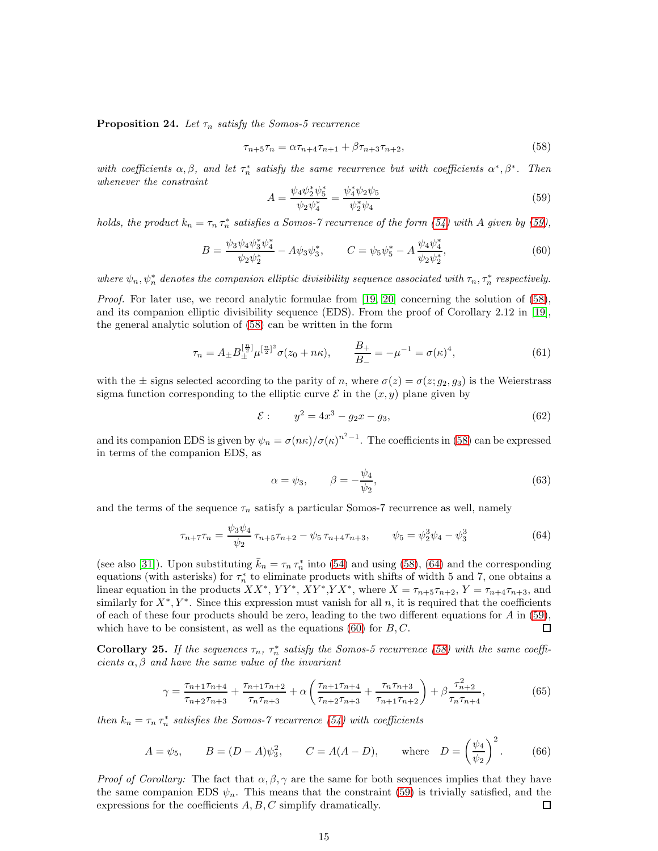<span id="page-15-2"></span>**Proposition 24.** Let  $\tau_n$  satisfy the Somos-5 recurrence

$$
\tau_{n+5}\tau_n = \alpha \tau_{n+4}\tau_{n+1} + \beta \tau_{n+3}\tau_{n+2},\tag{58}
$$

with coefficients  $\alpha, \beta$ , and let  $\tau_n^*$  satisfy the same recurrence but with coefficients  $\alpha^*, \beta^*$ . Then whenever the constraint

$$
A = \frac{\psi_4 \psi_2^* \psi_5^*}{\psi_2 \psi_4^*} = \frac{\psi_4^* \psi_2 \psi_5}{\psi_2^* \psi_4}
$$
(59)

holds, the product  $k_n = \tau_n \tau_n^*$  satisfies a Somos-7 recurrence of the form [\(54\)](#page-13-0) with A given by [\(59\)](#page-14-0),

$$
B = \frac{\psi_3 \psi_4 \psi_3^* \psi_4^*}{\psi_2 \psi_2^*} - A \psi_3 \psi_3^*, \qquad C = \psi_5 \psi_5^* - A \frac{\psi_4 \psi_4^*}{\psi_2 \psi_2^*},\tag{60}
$$

where  $\psi_n, \psi_n^*$  denotes the companion elliptic divisibility sequence associated with  $\tau_n, \tau_n^*$  respectively.

Proof. For later use, we record analytic formulae from [\[19,](#page-22-12) [20\]](#page-22-18) concerning the solution of [\(58\)](#page-14-1), and its companion elliptic divisibility sequence (EDS). From the proof of Corollary 2.12 in [\[19\]](#page-22-12), the general analytic solution of [\(58\)](#page-14-1) can be written in the form

<span id="page-15-3"></span>
$$
\tau_n = A_{\pm} B_{\pm}^{\left[\frac{n}{2}\right]} \mu^{\left[\frac{n}{2}\right]^2} \sigma(z_0 + n\kappa), \qquad \frac{B_{+}}{B_{-}} = -\mu^{-1} = \sigma(\kappa)^4,\tag{61}
$$

with the  $\pm$  signs selected according to the parity of n, where  $\sigma(z) = \sigma(z; g_2, g_3)$  is the Weierstrass sigma function corresponding to the elliptic curve  $\mathcal E$  in the  $(x, y)$  plane given by

$$
\mathcal{E}: \qquad y^2 = 4x^3 - g_2x - g_3,\tag{62}
$$

<span id="page-15-0"></span>and its companion EDS is given by  $\psi_n = \sigma(n\kappa)/\sigma(\kappa)^{n^2-1}$ . The coefficients in [\(58\)](#page-14-1) can be expressed in terms of the companion EDS, as

$$
\alpha = \psi_3, \qquad \beta = -\frac{\psi_4}{\psi_2}, \tag{63}
$$

and the terms of the sequence  $\tau_n$  satisfy a particular Somos-7 recurrence as well, namely

$$
\tau_{n+7}\tau_n = \frac{\psi_3\psi_4}{\psi_2} \tau_{n+5}\tau_{n+2} - \psi_5 \tau_{n+4}\tau_{n+3}, \qquad \psi_5 = \psi_2^3\psi_4 - \psi_3^3 \tag{64}
$$

(see also [\[31\]](#page-23-6)). Upon substituting  $\bar{k}_n = \tau_n \tau_n^*$  into [\(54\)](#page-13-0) and using [\(58\)](#page-14-1), [\(64\)](#page-14-2) and the corresponding equations (with asterisks) for  $\tau_n^*$  to eliminate products with shifts of width 5 and 7, one obtains a linear equation in the products  $XX^*$ ,  $YY^*$ ,  $XY^*$ ,  $YY^*$ , where  $X = \tau_{n+5}\tau_{n+2}$ ,  $Y = \tau_{n+4}\tau_{n+3}$ , and similarly for  $X^*, Y^*$ . Since this expression must vanish for all n, it is required that the coefficients of each of these four products should be zero, leading to the two different equations for  $A$  in [\(59\)](#page-14-0), which have to be consistent, as well as the equations  $(60)$  for  $B, C$ . П

**Corollary 25.** If the sequences  $\tau_n$ ,  $\tau_n^*$  satisfy the Somos-5 recurrence [\(58\)](#page-14-1) with the same coefficients  $\alpha, \beta$  and have the same value of the invariant

$$
\gamma = \frac{\tau_{n+1}\tau_{n+4}}{\tau_{n+2}\tau_{n+3}} + \frac{\tau_{n+1}\tau_{n+2}}{\tau_n\tau_{n+3}} + \alpha \left(\frac{\tau_{n+1}\tau_{n+4}}{\tau_{n+2}\tau_{n+3}} + \frac{\tau_n\tau_{n+3}}{\tau_{n+1}\tau_{n+2}}\right) + \beta \frac{\tau_{n+2}^2}{\tau_n\tau_{n+4}},\tag{65}
$$

then  $k_n = \tau_n \tau_n^*$  satisfies the Somos-7 recurrence [\(54\)](#page-13-0) with coefficients

<span id="page-15-1"></span>
$$
A = \psi_5
$$
,  $B = (D - A)\psi_3^2$ ,  $C = A(A - D)$ , where  $D = \left(\frac{\psi_4}{\psi_2}\right)^2$ . (66)

*Proof of Corollary:* The fact that  $\alpha, \beta, \gamma$  are the same for both sequences implies that they have the same companion EDS  $\psi_n$ . This means that the constraint [\(59\)](#page-14-0) is trivially satisfied, and the expressions for the coefficients  $A, B, C$  simplify dramatically. □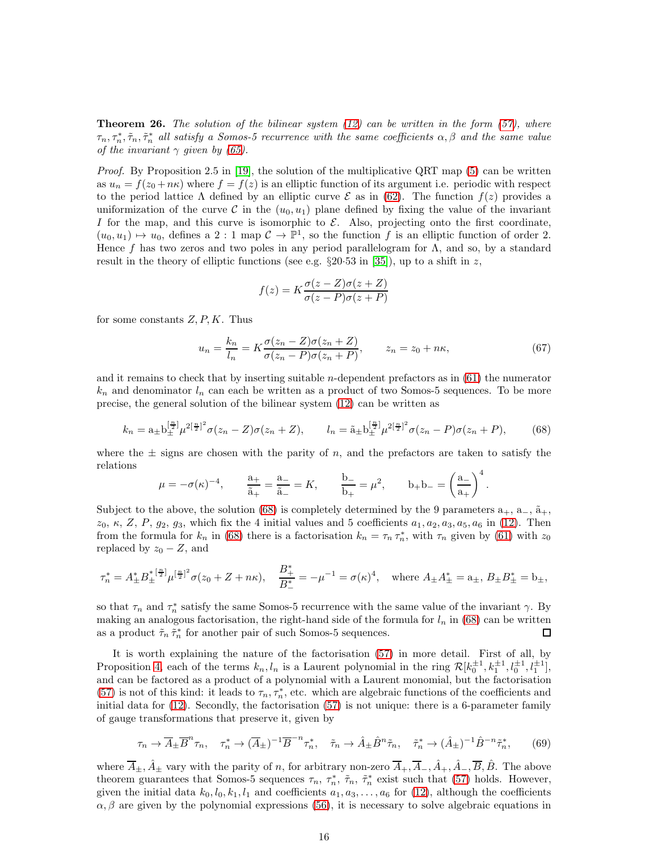**Theorem 26.** The solution of the bilinear system  $(12)$  can be written in the form  $(57)$ , where  $\tau_n, \tau_n^*, \tilde{\tau}_n, \tilde{\tau}_n^*$  all satisfy a Somos-5 recurrence with the same coefficients  $\alpha, \beta$  and the same value of the invariant  $\gamma$  given by [\(65\)](#page-14-4).

*Proof.* By Proposition 2.5 in [\[19\]](#page-22-12), the solution of the multiplicative QRT map  $(5)$  can be written as  $u_n = f(z_0 + n\kappa)$  where  $f = f(z)$  is an elliptic function of its argument i.e. periodic with respect to the period lattice  $\Lambda$  defined by an elliptic curve  $\mathcal E$  as in [\(62\)](#page-14-5). The function  $f(z)$  provides a uniformization of the curve C in the  $(u_0, u_1)$  plane defined by fixing the value of the invariant I for the map, and this curve is isomorphic to  $\mathcal{E}$ . Also, projecting onto the first coordinate,  $(u_0, u_1) \mapsto u_0$ , defines a 2 : 1 map  $\mathcal{C} \to \mathbb{P}^1$ , so the function f is an elliptic function of order 2. Hence f has two zeros and two poles in any period parallelogram for  $\Lambda$ , and so, by a standard result in the theory of elliptic functions (see e.g.  $\S 20.53$  in [\[35\]](#page-23-7)), up to a shift in z,

$$
f(z) = K \frac{\sigma(z - Z)\sigma(z + Z)}{\sigma(z - P)\sigma(z + P)}
$$

for some constants  $Z, P, K$ . Thus

$$
u_n = \frac{k_n}{l_n} = K \frac{\sigma(z_n - Z)\sigma(z_n + Z)}{\sigma(z_n - P)\sigma(z_n + P)}, \qquad z_n = z_0 + n\kappa,
$$
\n(67)

and it remains to check that by inserting suitable  $n$ -dependent prefactors as in  $(61)$  the numerator  $k_n$  and denominator  $l_n$  can each be written as a product of two Somos-5 sequences. To be more precise, the general solution of the bilinear system [\(12\)](#page-4-0) can be written as

$$
k_n = a_{\pm} b_{\pm}^{\left[\frac{n}{2}\right]} \mu^{2\left[\frac{n}{2}\right]^2} \sigma(z_n - Z) \sigma(z_n + Z), \qquad l_n = \tilde{a}_{\pm} b_{\pm}^{\left[\frac{n}{2}\right]} \mu^{2\left[\frac{n}{2}\right]^2} \sigma(z_n - P) \sigma(z_n + P), \tag{68}
$$

where the  $\pm$  signs are chosen with the parity of n, and the prefactors are taken to satisfy the relations

<span id="page-16-2"></span>
$$
\mu = -\sigma(\kappa)^{-4},
$$
\n $\frac{a_+}{\tilde{a}_+} = \frac{a_-}{\tilde{a}_-} = K,$ \n $\frac{b_-}{b_+} = \mu^2,$ \n $b_+ b_- = \left(\frac{a_-}{a_+}\right)^4.$ 

Subject to the above, the solution [\(68\)](#page-15-0) is completely determined by the 9 parameters  $a_+$ ,  $a_-$ ,  $\tilde{a}_+$ ,  $z_0, \kappa, Z, P, g_2, g_3$ , which fix the 4 initial values and 5 coefficients  $a_1, a_2, a_3, a_5, a_6$  in [\(12\)](#page-4-0). Then from the formula for  $k_n$  in [\(68\)](#page-15-0) there is a factorisation  $k_n = \tau_n \tau_n^*$ , with  $\tau_n$  given by [\(61\)](#page-14-6) with  $z_0$ replaced by  $z_0 - Z$ , and

<span id="page-16-0"></span>
$$
\tau_n^* = A_{\pm}^* B_{\pm}^{* \, [\frac{n}{2}]} \mu^{[\frac{n}{2}]^2} \sigma(z_0 + Z + n\kappa), \quad \frac{B_{+}^*}{B_{-}^*} = - \mu^{-1} = \sigma(\kappa)^4, \quad \text{where } A_{\pm} A_{\pm}^* = \mathbf{a}_{\pm}, \, B_{\pm} B_{\pm}^* = \mathbf{b}_{\pm},
$$

<span id="page-16-1"></span>so that  $\tau_n$  and  $\tau_n^*$  satisfy the same Somos-5 recurrence with the same value of the invariant  $\gamma$ . By making an analogous factorisation, the right-hand side of the formula for  $l_n$  in [\(68\)](#page-15-0) can be written as a product  $\tilde{\tau}_n \, \tilde{\tau}_n^\ast$  for another pair of such Somos-5 sequences.  $\Box$ 

It is worth explaining the nature of the factorisation [\(57\)](#page-13-1) in more detail. First of all, by Proposition [4,](#page-4-5) each of the terms  $k_n, l_n$  is a Laurent polynomial in the ring  $\mathcal{R}[k_0^{\pm 1}, k_1^{\pm 1}, l_0^{\pm 1}, l_1^{\pm 1}]$ , and can be factored as a product of a polynomial with a Laurent monomial, but the factorisation [\(57\)](#page-13-1) is not of this kind: it leads to  $\tau_n, \tau_n^*$ , etc. which are algebraic functions of the coefficients and initial data for [\(12\)](#page-4-0). Secondly, the factorisation [\(57\)](#page-13-1) is not unique: there is a 6-parameter family of gauge transformations that preserve it, given by

$$
\tau_n \to \overline{A}_{\pm} \overline{B}^n \tau_n, \quad \tau_n^* \to (\overline{A}_{\pm})^{-1} \overline{B}^{-n} \tau_n^*, \quad \tilde{\tau}_n \to \hat{A}_{\pm} \hat{B}^n \tilde{\tau}_n, \quad \tilde{\tau}_n^* \to (\hat{A}_{\pm})^{-1} \hat{B}^{-n} \tilde{\tau}_n^*, \tag{69}
$$

where  $\overline{A}_{\pm}$ ,  $\hat{A}_{\pm}$  vary with the parity of n, for arbitrary non-zero  $\overline{A}_{+}$ ,  $\overline{A}_{-}$ ,  $\hat{A}_{+}$ ,  $\hat{A}_{-}$ ,  $\overline{B}$ ,  $\hat{B}$ . The above theorem guarantees that Somos-5 sequences  $\tau_n$ ,  $\tau_n^*$ ,  $\tilde{\tau}_n$ ,  $\tilde{\tau}_n^*$  exist such that [\(57\)](#page-13-1) holds. However, given the initial data  $k_0, l_0, k_1, l_1$  and coefficients  $a_1, a_3, \ldots, a_6$  for [\(12\)](#page-4-0), although the coefficients  $\alpha, \beta$  are given by the polynomial expressions [\(56\)](#page-13-2), it is necessary to solve algebraic equations in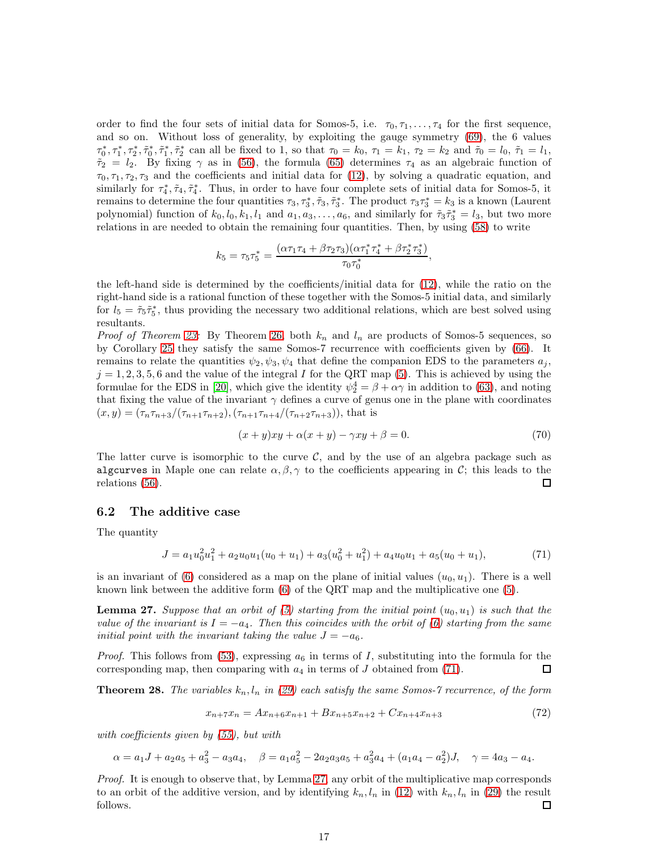order to find the four sets of initial data for Somos-5, i.e.  $\tau_0, \tau_1, \ldots, \tau_4$  for the first sequence, and so on. Without loss of generality, by exploiting the gauge symmetry [\(69\)](#page-15-1), the 6 values  $\tau_0^*, \tau_1^*, \tau_2^*, \tilde{\tau}_0^*, \tilde{\tau}_1^*, \tilde{\tau}_2^*$  can all be fixed to 1, so that  $\tau_0 = k_0$ ,  $\tau_1 = k_1$ ,  $\tau_2 = k_2$  and  $\tilde{\tau}_0 = l_0$ ,  $\tilde{\tau}_1 = l_1$ ,  $\tilde{\tau}_2 = l_2$ . By fixing  $\gamma$  as in [\(56\)](#page-13-2), the formula [\(65\)](#page-14-4) determines  $\tau_4$  as an algebraic function of  $\tau_0, \tau_1, \tau_2, \tau_3$  and the coefficients and initial data for [\(12\)](#page-4-0), by solving a quadratic equation, and similarly for  $\tau_4^*, \tilde{\tau}_4, \tilde{\tau}_4^*$ . Thus, in order to have four complete sets of initial data for Somos-5, it remains to determine the four quantities  $\tau_3, \tau_3^*, \tilde{\tau}_3, \tilde{\tau}_3^*$ . The product  $\tau_3\tau_3^* = k_3$  is a known (Laurent polynomial) function of  $k_0, l_0, k_1, l_1$  and  $a_1, a_3, \ldots, a_6$ , and similarly for  $\tilde{\tau}_3 \tilde{\tau}_3^* = l_3$ , but two more relations in are needed to obtain the remaining four quantities. Then, by using [\(58\)](#page-14-1) to write

<span id="page-17-0"></span>
$$
k_5 = \tau_5 \tau_5^* = \frac{(\alpha \tau_1 \tau_4 + \beta \tau_2 \tau_3)(\alpha \tau_1^* \tau_4^* + \beta \tau_2^* \tau_3^*)}{\tau_0 \tau_0^*},
$$

the left-hand side is determined by the coefficients/initial data for [\(12\)](#page-4-0), while the ratio on the right-hand side is a rational function of these together with the Somos-5 initial data, and similarly for  $l_5 = \tilde{\tau}_5 \tilde{\tau}_5^*$ , thus providing the necessary two additional relations, which are best solved using resultants.

*Proof of Theorem [23:](#page-13-3)* By Theorem [26,](#page-15-2) both  $k_n$  and  $l_n$  are products of Somos-5 sequences, so by Corollary [25](#page-14-7) they satisfy the same Somos-7 recurrence with coefficients given by [\(66\)](#page-14-8). It remains to relate the quantities  $\psi_2, \psi_3, \psi_4$  that define the companion EDS to the parameters  $a_i$ ,  $j = 1, 2, 3, 5, 6$  and the value of the integral I for the QRT map [\(5\)](#page-1-6). This is achieved by using the formulae for the EDS in [\[20\]](#page-22-18), which give the identity  $\psi_2^4 = \beta + \alpha \gamma$  in addition to [\(63\)](#page-14-9), and noting that fixing the value of the invariant  $\gamma$  defines a curve of genus one in the plane with coordinates  $(x, y) = (\tau_n \tau_{n+3}/(\tau_{n+1} \tau_{n+2}), (\tau_{n+1} \tau_{n+4}/(\tau_{n+2} \tau_{n+3})),$  that is

<span id="page-17-1"></span>
$$
(x+y)xy + \alpha(x+y) - \gamma xy + \beta = 0.
$$
\n(70)

The latter curve is isomorphic to the curve  $C$ , and by the use of an algebra package such as algcurves in Maple one can relate  $\alpha, \beta, \gamma$  to the coefficients appearing in C; this leads to the relations (56). relations [\(56\)](#page-13-2).

#### 6.2 The additive case

The quantity

$$
J = a_1 u_0^2 u_1^2 + a_2 u_0 u_1 (u_0 + u_1) + a_3 (u_0^2 + u_1^2) + a_4 u_0 u_1 + a_5 (u_0 + u_1),
$$
\n<sup>(71)</sup>

is an invariant of [\(6\)](#page-2-0) considered as a map on the plane of initial values  $(u_0, u_1)$ . There is a well known link between the additive form [\(6\)](#page-2-0) of the QRT map and the multiplicative one [\(5\)](#page-1-6).

**Lemma 27.** Suppose that an orbit of [\(5\)](#page-1-6) starting from the initial point  $(u_0, u_1)$  is such that the value of the invariant is  $I = -a_4$ . Then this coincides with the orbit of [\(6\)](#page-2-0) starting from the same initial point with the invariant taking the value  $J = -a_6$ .

*Proof.* This follows from [\(53\)](#page-13-4), expressing  $a_6$  in terms of I, substituting into the formula for the corresponding map, then comparing with  $a_4$  in terms of J obtained from [\(71\)](#page-16-0). □

**Theorem 28.** The variables  $k_n, l_n$  in [\(29\)](#page-7-0) each satisfy the same Somos-7 recurrence, of the form

<span id="page-17-2"></span>
$$
x_{n+7}x_n = Ax_{n+6}x_{n+1} + Bx_{n+5}x_{n+2} + Cx_{n+4}x_{n+3}
$$
\n<sup>(72)</sup>

with coefficients given by [\(55\)](#page-13-5), but with

$$
\alpha = a_1 J + a_2 a_5 + a_3^2 - a_3 a_4, \quad \beta = a_1 a_5^2 - 2 a_2 a_3 a_5 + a_3^2 a_4 + (a_1 a_4 - a_2^2) J, \quad \gamma = 4 a_3 - a_4.
$$

Proof. It is enough to observe that, by Lemma [27,](#page-16-1) any orbit of the multiplicative map corresponds to an orbit of the additive version, and by identifying  $k_n, l_n$  in [\(12\)](#page-4-0) with  $k_n, l_n$  in [\(29\)](#page-7-0) the result follows. □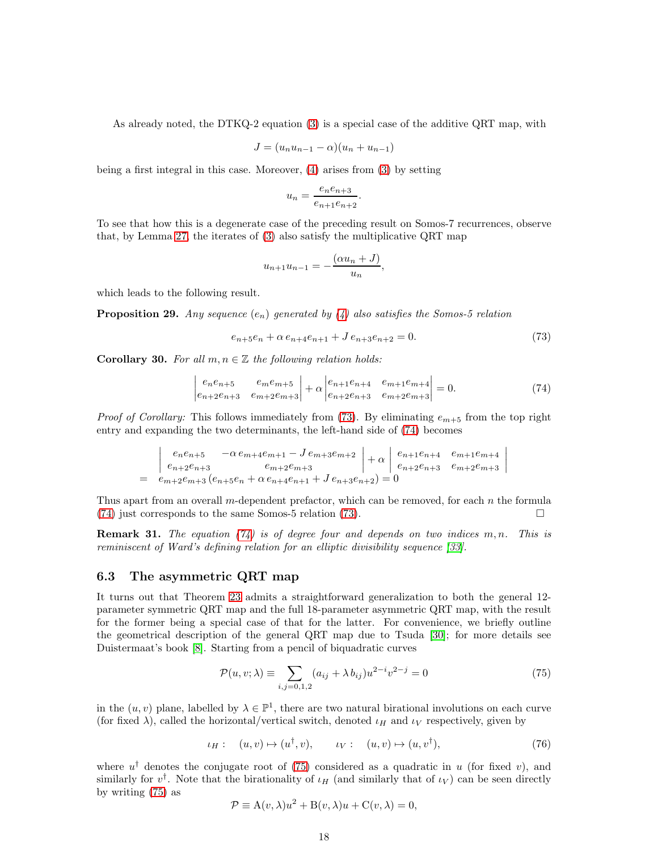As already noted, the DTKQ-2 equation [\(3\)](#page-1-4) is a special case of the additive QRT map, with

<span id="page-18-0"></span>
$$
J = (u_n u_{n-1} - \alpha)(u_n + u_{n-1})
$$

being a first integral in this case. Moreover, [\(4\)](#page-1-5) arises from [\(3\)](#page-1-4) by setting

$$
u_n = \frac{e_ne_{n+3}}{e_{n+1}e_{n+2}}.
$$

To see that how this is a degenerate case of the preceding result on Somos-7 recurrences, observe that, by Lemma [27,](#page-16-1) the iterates of [\(3\)](#page-1-4) also satisfy the multiplicative QRT map

<span id="page-18-1"></span>
$$
u_{n+1}u_{n-1}=-\frac{(\alpha u_n+J)}{u_n},
$$

which leads to the following result.

**Proposition 29.** Any sequence  $(e_n)$  generated by [\(4\)](#page-1-5) also satisfies the Somos-5 relation

$$
e_{n+5}e_n + \alpha e_{n+4}e_{n+1} + J e_{n+3}e_{n+2} = 0.
$$
 (73)

**Corollary 30.** For all  $m, n \in \mathbb{Z}$  the following relation holds:

<span id="page-18-2"></span>
$$
\begin{vmatrix} e_n e_{n+5} & e_m e_{m+5} \ e_{n+2} e_{n+3} & e_{m+2} e_{m+3} \end{vmatrix} + \alpha \begin{vmatrix} e_{n+1} e_{n+4} & e_{m+1} e_{m+4} \ e_{n+2} e_{n+3} & e_{m+2} e_{m+3} \end{vmatrix} = 0.
$$
 (74)

*Proof of Corollary:* This follows immediately from [\(73\)](#page-17-0). By eliminating  $e_{m+5}$  from the top right entry and expanding the two determinants, the left-hand side of [\(74\)](#page-17-1) becomes

$$
\begin{vmatrix}\ne_{n}e_{n+5} & -\alpha e_{m+4}e_{m+1} - J e_{m+3}e_{m+2} \\
e_{n+2}e_{n+3} & e_{m+2}e_{m+3}\n\end{vmatrix} + \alpha \begin{vmatrix} e_{n+1}e_{n+4} & e_{m+1}e_{m+4} \\
e_{n+2}e_{n+3} & e_{m+2}e_{m+3}\n\end{vmatrix}
$$
\n
$$
= e_{m+2}e_{m+3}(e_{n+5}e_n + \alpha e_{n+4}e_{n+1} + J e_{n+3}e_{n+2}) = 0
$$

Thus apart from an overall m-dependent prefactor, which can be removed, for each  $n$  the formula  $(74)$  just corresponds to the same Somos-5 relation  $(73)$ .

**Remark 31.** The equation [\(74\)](#page-17-1) is of degree four and depends on two indices  $m, n$ . This is reminiscent of Ward's defining relation for an elliptic divisibility sequence [\[33\]](#page-23-8).

#### 6.3 The asymmetric QRT map

It turns out that Theorem [23](#page-13-3) admits a straightforward generalization to both the general 12 parameter symmetric QRT map and the full 18-parameter asymmetric QRT map, with the result for the former being a special case of that for the latter. For convenience, we briefly outline the geometrical description of the general QRT map due to Tsuda [\[30\]](#page-23-1); for more details see Duistermaat's book [\[8\]](#page-22-9). Starting from a pencil of biquadratic curves

$$
\mathcal{P}(u, v; \lambda) \equiv \sum_{i,j=0,1,2} (a_{ij} + \lambda b_{ij}) u^{2-i} v^{2-j} = 0
$$
\n(75)

in the  $(u, v)$  plane, labelled by  $\lambda \in \mathbb{P}^1$ , there are two natural birational involutions on each curve (for fixed  $\lambda$ ), called the horizontal/vertical switch, denoted  $\iota_H$  and  $\iota_V$  respectively, given by

$$
\iota_H: \quad (u,v) \mapsto (u^{\dagger}, v), \qquad \iota_V: \quad (u,v) \mapsto (u, v^{\dagger}), \tag{76}
$$

where  $u^{\dagger}$  denotes the conjugate root of [\(75\)](#page-17-2) considered as a quadratic in u (for fixed v), and similarly for  $v^{\dagger}$ . Note that the birationality of  $\iota_H$  (and similarly that of  $\iota_V$ ) can be seen directly by writing [\(75\)](#page-17-2) as

$$
\mathcal{P} \equiv A(v, \lambda)u^2 + B(v, \lambda)u + C(v, \lambda) = 0,
$$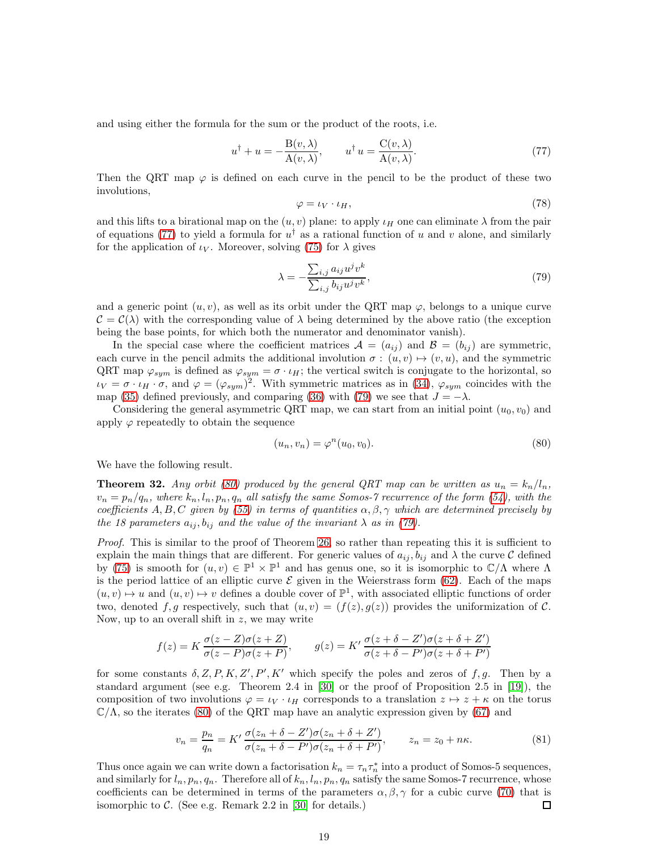and using either the formula for the sum or the product of the roots, i.e.

$$
u^{\dagger} + u = -\frac{\mathcal{B}(v,\lambda)}{\mathcal{A}(v,\lambda)}, \qquad u^{\dagger} u = \frac{\mathcal{C}(v,\lambda)}{\mathcal{A}(v,\lambda)}.
$$
 (77)

Then the QRT map  $\varphi$  is defined on each curve in the pencil to be the product of these two involutions,

$$
\varphi = \iota_V \cdot \iota_H,\tag{78}
$$

and this lifts to a birational map on the  $(u, v)$  plane: to apply  $\iota_H$  one can eliminate  $\lambda$  from the pair of equations [\(77\)](#page-18-0) to yield a formula for  $u^{\dagger}$  as a rational function of u and v alone, and similarly for the application of  $\iota_V$ . Moreover, solving [\(75\)](#page-17-2) for  $\lambda$  gives

$$
\lambda = -\frac{\sum_{i,j} a_{ij} u^j v^k}{\sum_{i,j} b_{ij} u^j v^k},\tag{79}
$$

<span id="page-19-1"></span>and a generic point  $(u, v)$ , as well as its orbit under the QRT map  $\varphi$ , belongs to a unique curve  $\mathcal{C} = \mathcal{C}(\lambda)$  with the corresponding value of  $\lambda$  being determined by the above ratio (the exception being the base points, for which both the numerator and denominator vanish).

In the special case where the coefficient matrices  $\mathcal{A} = (a_{ij})$  and  $\mathcal{B} = (b_{ij})$  are symmetric, each curve in the pencil admits the additional involution  $\sigma : (u, v) \mapsto (v, u)$ , and the symmetric QRT map  $\varphi_{sym}$  is defined as  $\varphi_{sym} = \sigma \cdot \iota_H$ ; the vertical switch is conjugate to the horizontal, so  $\iota_V = \sigma \cdot \iota_H \cdot \sigma$ , and  $\varphi = (\varphi_{sym})^2$ . With symmetric matrices as in [\(34\)](#page-9-3),  $\varphi_{sym}$  coincides with the map [\(35\)](#page-9-0) defined previously, and comparing [\(36\)](#page-9-4) with [\(79\)](#page-18-1) we see that  $J = -\lambda$ .

Considering the general asymmetric QRT map, we can start from an initial point  $(u_0, v_0)$  and apply  $\varphi$  repeatedly to obtain the sequence

<span id="page-19-5"></span><span id="page-19-0"></span>
$$
(u_n, v_n) = \varphi^n(u_0, v_0). \tag{80}
$$

<span id="page-19-2"></span>We have the following result.

**Theorem 32.** Any orbit [\(80\)](#page-18-2) produced by the general QRT map can be written as  $u_n = k_n/l_n$ ,  $v_n = p_n/q_n$ , where  $k_n, l_n, p_n, q_n$  all satisfy the same Somos-7 recurrence of the form [\(54\)](#page-13-0), with the coefficients A, B, C given by [\(55\)](#page-13-5) in terms of quantities  $\alpha, \beta, \gamma$  which are determined precisely by the 18 parameters  $a_{ij}, b_{ij}$  and the value of the invariant  $\lambda$  as in [\(79\)](#page-18-1).

Proof. This is similar to the proof of Theorem [26,](#page-15-2) so rather than repeating this it is sufficient to explain the main things that are different. For generic values of  $a_{ij}$ ,  $b_{ij}$  and  $\lambda$  the curve C defined by [\(75\)](#page-17-2) is smooth for  $(u, v) \in \mathbb{P}^1 \times \mathbb{P}^1$  and has genus one, so it is isomorphic to  $\mathbb{C}/\Lambda$  where  $\Lambda$ is the period lattice of an elliptic curve  $\mathcal E$  given in the Weierstrass form [\(62\)](#page-14-5). Each of the maps  $(u, v) \mapsto u$  and  $(u, v) \mapsto v$  defines a double cover of  $\mathbb{P}^1$ , with associated elliptic functions of order two, denoted f, g respectively, such that  $(u, v) = (f(z), g(z))$  provides the uniformization of C. Now, up to an overall shift in  $z$ , we may write

<span id="page-19-3"></span>
$$
f(z) = K \frac{\sigma(z - Z)\sigma(z + Z)}{\sigma(z - P)\sigma(z + P)}, \qquad g(z) = K' \frac{\sigma(z + \delta - Z')\sigma(z + \delta + Z')}{\sigma(z + \delta - P')\sigma(z + \delta + P')}
$$

for some constants  $\delta$ , Z, P, K, Z', P', K' which specify the poles and zeros of f, g. Then by a standard argument (see e.g. Theorem 2.4 in  $[30]$  or the proof of Proposition 2.5 in  $[19]$ ), the composition of two involutions  $\varphi = \iota_V \cdot \iota_H$  corresponds to a translation  $z \mapsto z + \kappa$  on the torus  $\mathbb{C}/\Lambda$ , so the iterates [\(80\)](#page-18-2) of the QRT map have an analytic expression given by [\(67\)](#page-15-3) and

<span id="page-19-4"></span>
$$
v_n = \frac{p_n}{q_n} = K' \frac{\sigma(z_n + \delta - Z')\sigma(z_n + \delta + Z')}{\sigma(z_n + \delta - P')\sigma(z_n + \delta + P')}, \qquad z_n = z_0 + n\kappa.
$$
 (81)

Thus once again we can write down a factorisation  $k_n = \tau_n \tau_n^*$  into a product of Somos-5 sequences, and similarly for  $l_n, p_n, q_n$ . Therefore all of  $k_n, l_n, p_n, q_n$  satisfy the same Somos-7 recurrence, whose coefficients can be determined in terms of the parameters  $\alpha, \beta, \gamma$  for a cubic curve [\(70\)](#page-16-2) that is isomorphic to  $\mathcal{C}$ . (See e.g. Remark 2.2 in [\[30\]](#page-23-1) for details.) □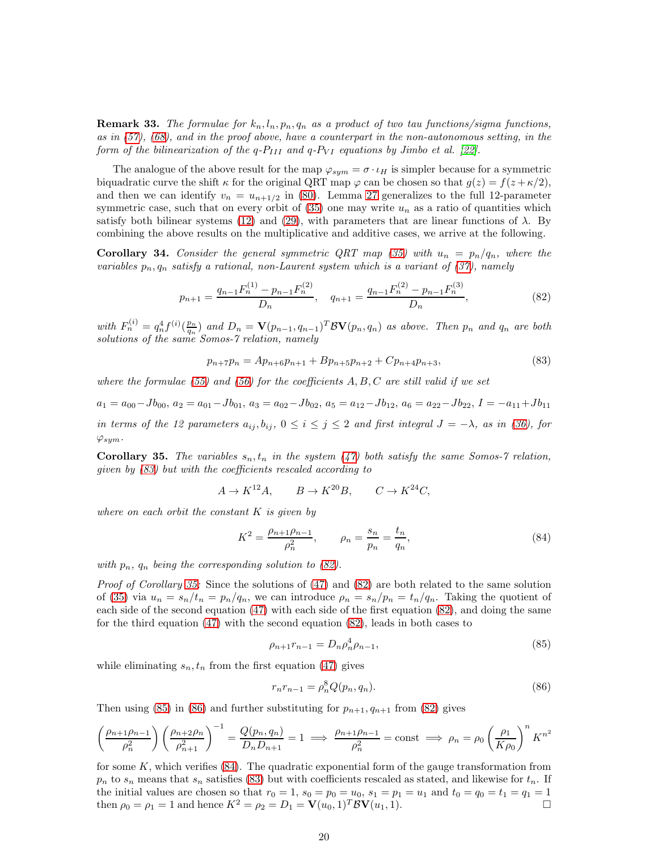**Remark 33.** The formulae for  $k_n, l_n, p_n, q_n$  as a product of two tau functions/sigma functions, as in  $(57)$ ,  $(68)$ , and in the proof above, have a counterpart in the non-autonomous setting, in the form of the bilinearization of the q- $P_{III}$  and q- $P_{VI}$  equations by Jimbo et al. [\[22\]](#page-22-19).

The analogue of the above result for the map  $\varphi_{sym} = \sigma \cdot \iota_H$  is simpler because for a symmetric biquadratic curve the shift  $\kappa$  for the original QRT map  $\varphi$  can be chosen so that  $g(z) = f(z + \kappa/2)$ , and then we can identify  $v_n = u_{n+1/2}$  in [\(80\)](#page-18-2). Lemma [27](#page-16-1) generalizes to the full 12-parameter symmetric case, such that on every orbit of  $(35)$  one may write  $u_n$  as a ratio of quantities which satisfy both bilinear systems [\(12\)](#page-4-0) and [\(29\)](#page-7-0), with parameters that are linear functions of  $\lambda$ . By combining the above results on the multiplicative and additive cases, we arrive at the following.

**Corollary 34.** Consider the general symmetric QRT map [\(35\)](#page-9-0) with  $u_n = p_n/q_n$ , where the variables  $p_n, q_n$  satisfy a rational, non-Laurent system which is a variant of [\(37\)](#page-9-1), namely

$$
p_{n+1} = \frac{q_{n-1}F_n^{(1)} - p_{n-1}F_n^{(2)}}{D_n}, \quad q_{n+1} = \frac{q_{n-1}F_n^{(2)} - p_{n-1}F_n^{(3)}}{D_n},
$$
\n(82)

with  $F_n^{(i)} = q_n^4 f^{(i)}(\frac{p_n}{q_n})$  and  $D_n = \mathbf{V}(p_{n-1}, q_{n-1})^T \mathcal{B} \mathbf{V}(p_n, q_n)$  as above. Then  $p_n$  and  $q_n$  are both solutions of the same Somos-7 relation, namely

$$
p_{n+7}p_n = Ap_{n+6}p_{n+1} + Bp_{n+5}p_{n+2} + Cp_{n+4}p_{n+3},
$$
\n(83)

where the formulae [\(55\)](#page-13-5) and [\(56\)](#page-13-2) for the coefficients  $A, B, C$  are still valid if we set

$$
a_1 = a_{00} - Jb_{00}, \ a_2 = a_{01} - Jb_{01}, \ a_3 = a_{02} - Jb_{02}, \ a_5 = a_{12} - Jb_{12}, \ a_6 = a_{22} - Jb_{22}, \ I = -a_{11} + Jb_{11}
$$

in terms of the 12 parameters  $a_{ij}, b_{ij}, 0 \le i \le j \le 2$  and first integral  $J = -\lambda$ , as in [\(36\)](#page-9-4), for  $\varphi_{sym}$ .

**Corollary 35.** The variables  $s_n, t_n$  in the system [\(47\)](#page-11-2) both satisfy the same Somos-7 relation, given by [\(83\)](#page-19-0) but with the coefficients rescaled according to

$$
A \to K^{12}A, \qquad B \to K^{20}B, \qquad C \to K^{24}C,
$$

where on each orbit the constant  $K$  is given by

$$
K^{2} = \frac{\rho_{n+1}\rho_{n-1}}{\rho_{n}^{2}}, \qquad \rho_{n} = \frac{s_{n}}{p_{n}} = \frac{t_{n}}{q_{n}},
$$
\n(84)

with  $p_n$ ,  $q_n$  being the corresponding solution to [\(82\)](#page-19-1).

Proof of Corollary [35:](#page-19-2) Since the solutions of [\(47\)](#page-11-2) and [\(82\)](#page-19-1) are both related to the same solution of [\(35\)](#page-9-0) via  $u_n = s_n/t_n = p_n/q_n$ , we can introduce  $\rho_n = s_n/p_n = t_n/q_n$ . Taking the quotient of each side of the second equation [\(47\)](#page-11-2) with each side of the first equation [\(82\)](#page-19-1), and doing the same for the third equation [\(47\)](#page-11-2) with the second equation [\(82\)](#page-19-1), leads in both cases to

<span id="page-20-0"></span>
$$
\rho_{n+1}r_{n-1} = D_n \rho_n^4 \rho_{n-1},\tag{85}
$$

while eliminating  $s_n, t_n$  from the first equation [\(47\)](#page-11-2) gives

$$
r_n r_{n-1} = \rho_n^8 Q(p_n, q_n). \tag{86}
$$

Then using [\(85\)](#page-19-3) in [\(86\)](#page-19-4) and further substituting for  $p_{n+1}, q_{n+1}$  from [\(82\)](#page-19-1) gives

$$
\left(\frac{\rho_{n+1}\rho_{n-1}}{\rho_n^2}\right)\left(\frac{\rho_{n+2}\rho_n}{\rho_{n+1}^2}\right)^{-1} = \frac{Q(p_n, q_n)}{D_n D_{n+1}} = 1 \implies \frac{\rho_{n+1}\rho_{n-1}}{\rho_n^2} = \text{const} \implies \rho_n = \rho_0 \left(\frac{\rho_1}{K\rho_0}\right)^n K^{n^2}
$$

for some  $K$ , which verifies  $(84)$ . The quadratic exponential form of the gauge transformation from  $p_n$  to  $s_n$  means that  $s_n$  satisfies [\(83\)](#page-19-0) but with coefficients rescaled as stated, and likewise for  $t_n$ . If the initial values are chosen so that  $r_0 = 1$ ,  $s_0 = p_0 = u_0$ ,  $s_1 = p_1 = u_1$  and  $t_0 = q_0 = t_1 = q_1 = 1$ then  $\rho_0 = \rho_1 = 1$  and hence  $K^2 = \rho_2 = D_1 = \mathbf{V}(u_0, 1)^T \mathcal{B} \mathbf{V}(u_1, 1)$ .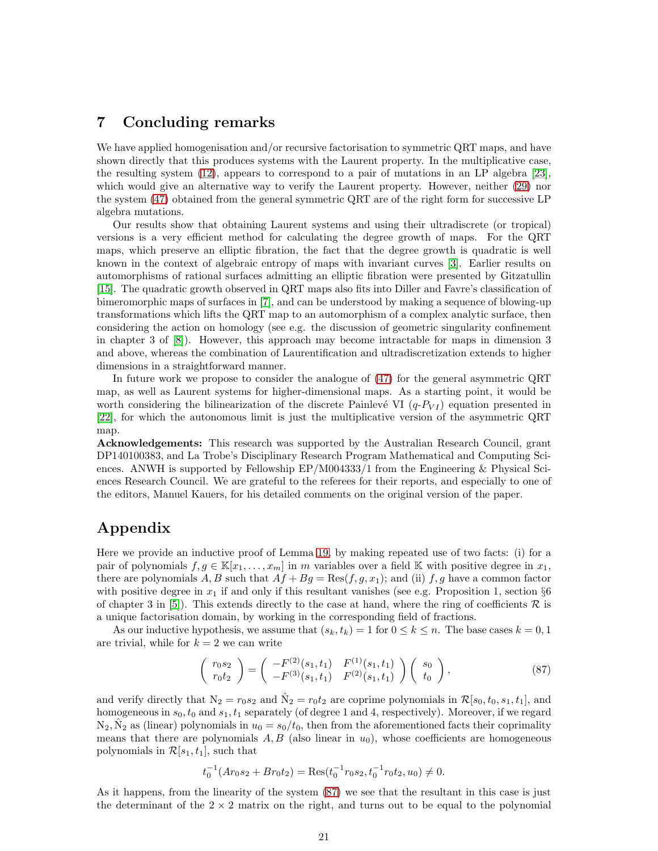# 7 Concluding remarks

We have applied homogenisation and/or recursive factorisation to symmetric QRT maps, and have shown directly that this produces systems with the Laurent property. In the multiplicative case, the resulting system [\(12\)](#page-4-0), appears to correspond to a pair of mutations in an LP algebra [\[23\]](#page-22-3), which would give an alternative way to verify the Laurent property. However, neither [\(29\)](#page-7-0) nor the system [\(47\)](#page-11-2) obtained from the general symmetric QRT are of the right form for successive LP algebra mutations.

<span id="page-21-5"></span>Our results show that obtaining Laurent systems and using their ultradiscrete (or tropical) versions is a very efficient method for calculating the degree growth of maps. For the QRT maps, which preserve an elliptic fibration, the fact that the degree growth is quadratic is well known in the context of algebraic entropy of maps with invariant curves [\[3\]](#page-21-3). Earlier results on automorphisms of rational surfaces admitting an elliptic fibration were presented by Gitzatullin [\[15\]](#page-22-20). The quadratic growth observed in QRT maps also fits into Diller and Favre's classification of bimeromorphic maps of surfaces in [\[7\]](#page-22-21), and can be understood by making a sequence of blowing-up transformations which lifts the QRT map to an automorphism of a complex analytic surface, then considering the action on homology (see e.g. the discussion of geometric singularity confinement in chapter 3 of [\[8\]](#page-22-9)). However, this approach may become intractable for maps in dimension 3 and above, whereas the combination of Laurentification and ultradiscretization extends to higher dimensions in a straightforward manner.

In future work we propose to consider the analogue of [\(47\)](#page-11-2) for the general asymmetric QRT map, as well as Laurent systems for higher-dimensional maps. As a starting point, it would be worth considering the bilinearization of the discrete Painlevé VI  $(q-P_{VI})$  equation presented in [\[22\]](#page-22-19), for which the autonomous limit is just the multiplicative version of the asymmetric QRT map.

Acknowledgements: This research was supported by the Australian Research Council, grant DP140100383, and La Trobe's Disciplinary Research Program Mathematical and Computing Sciences. ANWH is supported by Fellowship  $EP/M004333/1$  from the Engineering & Physical Sciences Research Council. We are grateful to the referees for their reports, and especially to one of the editors, Manuel Kauers, for his detailed comments on the original version of the paper.

# Appendix

Here we provide an inductive proof of Lemma [19,](#page-12-0) by making repeated use of two facts: (i) for a pair of polynomials  $f, g \in \mathbb{K}[x_1, \ldots, x_m]$  in m variables over a field K with positive degree in  $x_1$ , there are polynomials A, B such that  $Af + Bg = \text{Res}(f, g, x_1)$ ; and (ii)  $f, g$  have a common factor with positive degree in  $x_1$  if and only if this resultant vanishes (see e.g. Proposition 1, section  $\S6$ of chapter 3 in [\[5\]](#page-21-4)). This extends directly to the case at hand, where the ring of coefficients  $\mathcal R$  is a unique factorisation domain, by working in the corresponding field of fractions.

As our inductive hypothesis, we assume that  $(s_k, t_k) = 1$  for  $0 \le k \le n$ . The base cases  $k = 0, 1$ are trivial, while for  $k = 2$  we can write

$$
\begin{pmatrix} r_0 s_2 \\ r_0 t_2 \end{pmatrix} = \begin{pmatrix} -F^{(2)}(s_1, t_1) & F^{(1)}(s_1, t_1) \\ -F^{(3)}(s_1, t_1) & F^{(2)}(s_1, t_1) \end{pmatrix} \begin{pmatrix} s_0 \\ t_0 \end{pmatrix},
$$
(87)

<span id="page-21-3"></span><span id="page-21-2"></span><span id="page-21-0"></span>and verify directly that  $N_2 = r_0 s_2$  and  $\hat{N}_2 = r_0 t_2$  are coprime polynomials in  $\mathcal{R}[s_0, t_0, s_1, t_1]$ , and homogeneous in  $s_0, t_0$  and  $s_1, t_1$  separately (of degree 1 and 4, respectively). Moreover, if we regard  $N_2, \hat{N}_2$  as (linear) polynomials in  $u_0 = s_0/t_0$ , then from the aforementioned facts their coprimality means that there are polynomials  $A, B$  (also linear in  $u_0$ ), whose coefficients are homogeneous polynomials in  $\mathcal{R}[s_1, t_1]$ , such that

$$
t_0^{-1}(Ar_0s_2 + Br_0t_2) = \text{Res}(t_0^{-1}r_0s_2, t_0^{-1}r_0t_2, u_0) \neq 0.
$$

<span id="page-21-4"></span><span id="page-21-1"></span>As it happens, from the linearity of the system [\(87\)](#page-20-0) we see that the resultant in this case is just the determinant of the  $2 \times 2$  matrix on the right, and turns out to be equal to the polynomial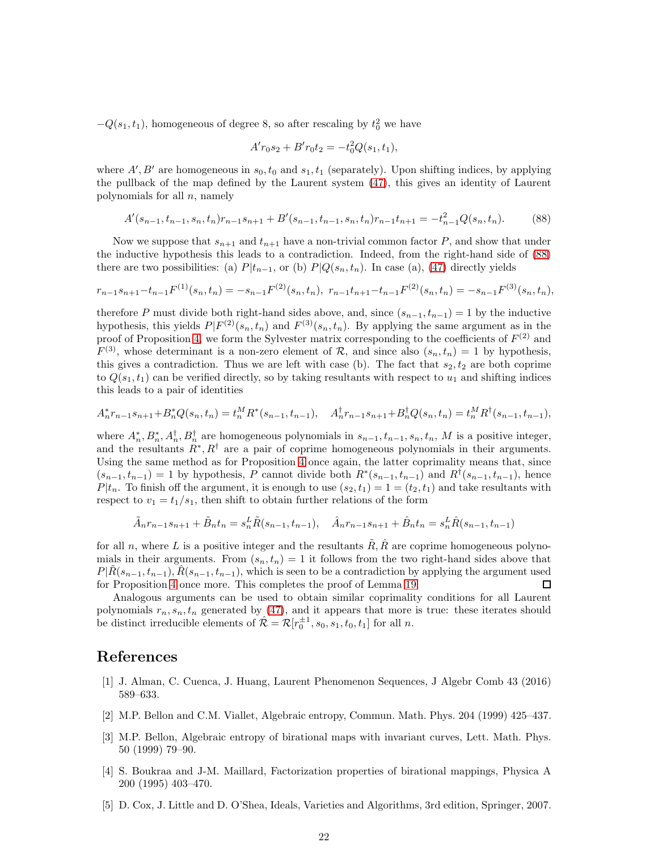<span id="page-22-21"></span><span id="page-22-15"></span> $-Q(s_1, t_1)$ , homogeneous of degree 8, so after rescaling by  $t_0^2$  we have

$$
A' r_0 s_2 + B' r_0 t_2 = -t_0^2 Q(s_1, t_1),
$$

<span id="page-22-9"></span><span id="page-22-5"></span>where  $A', B'$  are homogeneous in  $s_0, t_0$  and  $s_1, t_1$  (separately). Upon shifting indices, by applying the pullback of the map defined by the Laurent system [\(47\)](#page-11-2), this gives an identity of Laurent polynomials for all  $n$ , namely

$$
A'(s_{n-1}, t_{n-1}, s_n, t_n)r_{n-1}s_{n+1} + B'(s_{n-1}, t_{n-1}, s_n, t_n)r_{n-1}t_{n+1} = -t_{n-1}^2 Q(s_n, t_n). \tag{88}
$$

<span id="page-22-6"></span><span id="page-22-1"></span>Now we suppose that  $s_{n+1}$  and  $t_{n+1}$  have a non-trivial common factor P, and show that under the inductive hypothesis this leads to a contradiction. Indeed, from the right-hand side of [\(88\)](#page-21-5) there are two possibilities: (a)  $P|t_{n-1}$ , or (b)  $P|Q(s_n, t_n)$ . In case (a), [\(47\)](#page-11-2) directly yields

<span id="page-22-7"></span>
$$
r_{n-1}s_{n+1}-t_{n-1}F^{(1)}(s_n,t_n)=-s_{n-1}F^{(2)}(s_n,t_n),\ r_{n-1}t_{n+1}-t_{n-1}F^{(2)}(s_n,t_n)=-s_{n-1}F^{(3)}(s_n,t_n),
$$

<span id="page-22-2"></span><span id="page-22-0"></span>therefore P must divide both right-hand sides above, and, since  $(s_{n-1}, t_{n-1}) = 1$  by the inductive hypothesis, this yields  $P|F^{(2)}(s_n, t_n)$  and  $F^{(3)}(s_n, t_n)$ . By applying the same argument as in the proof of Proposition [4,](#page-4-5) we form the Sylvester matrix corresponding to the coefficients of  $F<sup>(2)</sup>$  and  $F^{(3)}$ , whose determinant is a non-zero element of  $\mathcal{R}$ , and since also  $(s_n, t_n) = 1$  by hypothesis, this gives a contradiction. Thus we are left with case (b). The fact that  $s_2, t_2$  are both coprime to  $Q(s_1, t_1)$  can be verified directly, so by taking resultants with respect to  $u_1$  and shifting indices this leads to a pair of identities

<span id="page-22-20"></span><span id="page-22-13"></span>
$$
A_n^* r_{n-1} s_{n+1} + B_n^* Q(s_n, t_n) = t_n^M R^*(s_{n-1}, t_{n-1}), \quad A_n^{\dagger} r_{n-1} s_{n+1} + B_n^{\dagger} Q(s_n, t_n) = t_n^M R^{\dagger}(s_{n-1}, t_{n-1}),
$$

<span id="page-22-10"></span>where  $A_n^*, B_n^*, A_n^{\dagger}, B_n^{\dagger}$  are homogeneous polynomials in  $s_{n-1}, t_{n-1}, s_n, t_n, M$  is a positive integer, and the resultants  $R^*, R^{\dagger}$  are a pair of coprime homogeneous polynomials in their arguments. Using the same method as for Proposition [4](#page-4-5) once again, the latter coprimality means that, since  $(s_{n-1}, t_{n-1}) = 1$  by hypothesis, P cannot divide both  $R^*(s_{n-1}, t_{n-1})$  and  $R^{\dagger}(s_{n-1}, t_{n-1})$ , hence  $P|t_n$ . To finish off the argument, it is enough to use  $(s_2, t_1) = 1 = (t_2, t_1)$  and take resultants with respect to  $v_1 = t_1/s_1$ , then shift to obtain further relations of the form

<span id="page-22-11"></span>
$$
\tilde{A}_n r_{n-1} s_{n+1} + \tilde{B}_n t_n = s_n^L \tilde{R}(s_{n-1}, t_{n-1}), \quad \hat{A}_n r_{n-1} s_{n+1} + \hat{B}_n t_n = s_n^L \hat{R}(s_{n-1}, t_{n-1})
$$

<span id="page-22-18"></span><span id="page-22-12"></span>for all n, where L is a positive integer and the resultants  $\tilde{R}$ ,  $\tilde{R}$  are coprime homogeneous polynomials in their arguments. From  $(s_n, t_n) = 1$  it follows from the two right-hand sides above that  $P|\tilde{R}(s_{n-1}, t_{n-1}), \tilde{R}(s_{n-1}, t_{n-1}),$  which is seen to be a contradiction by applying the argument used for Proposition 4 once more. This completes the proof of Lemma 19. for Proposition [4](#page-4-5) once more. This completes the proof of Lemma [19.](#page-12-0)

<span id="page-22-19"></span><span id="page-22-17"></span>Analogous arguments can be used to obtain similar coprimality conditions for all Laurent polynomials  $r_n$ ,  $s_n$ ,  $t_n$  generated by [\(47\)](#page-11-2), and it appears that more is true: these iterates should be distinct irreducible elements of  $\hat{\mathcal{R}} = \mathcal{R}[r_0^{\pm 1}, s_0, s_1, t_0, t_1]$  for all n.

## <span id="page-22-3"></span>References

- <span id="page-22-4"></span>[1] J. Alman, C. Cuenca, J. Huang, Laurent Phenomenon Sequences, J Algebr Comb 43 (2016) 589–633.
- <span id="page-22-14"></span>[2] M.P. Bellon and C.M. Viallet, Algebraic entropy, Commun. Math. Phys. 204 (1999) 425–437.
- [3] M.P. Bellon, Algebraic entropy of birational maps with invariant curves, Lett. Math. Phys. 50 (1999) 79–90.
- <span id="page-22-16"></span><span id="page-22-8"></span>[4] S. Boukraa and J-M. Maillard, Factorization properties of birational mappings, Physica A 200 (1995) 403–470.
- [5] D. Cox, J. Little and D. O'Shea, Ideals, Varieties and Algorithms, 3rd edition, Springer, 2007.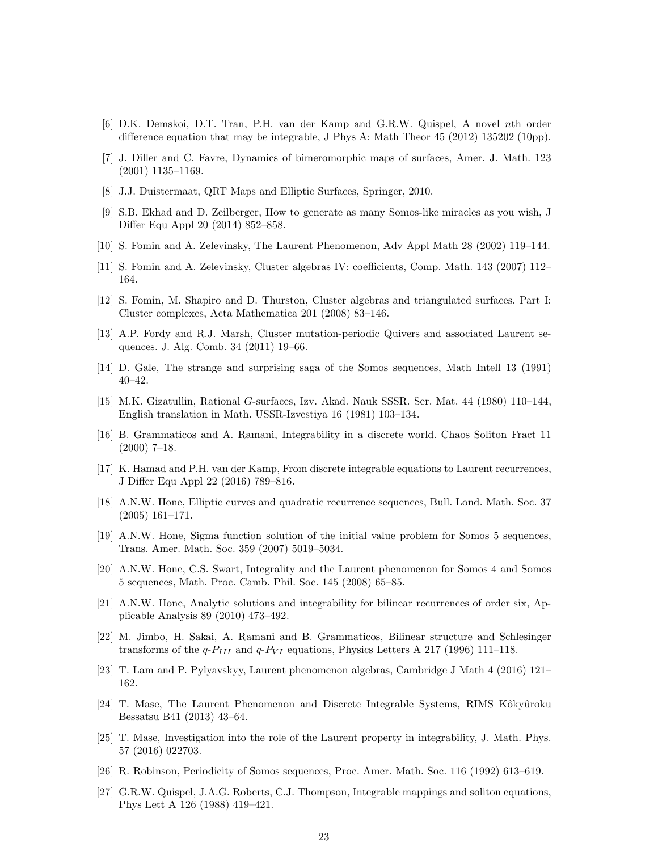- <span id="page-23-0"></span>[6] D.K. Demskoi, D.T. Tran, P.H. van der Kamp and G.R.W. Quispel, A novel nth order difference equation that may be integrable, J Phys A: Math Theor 45 (2012) 135202 (10pp).
- <span id="page-23-2"></span><span id="page-23-1"></span>[7] J. Diller and C. Favre, Dynamics of bimeromorphic maps of surfaces, Amer. J. Math. 123 (2001) 1135–1169.
- <span id="page-23-6"></span>[8] J.J. Duistermaat, QRT Maps and Elliptic Surfaces, Springer, 2010.
- [9] S.B. Ekhad and D. Zeilberger, How to generate as many Somos-like miracles as you wish, J Differ Equ Appl 20 (2014) 852–858.
- <span id="page-23-3"></span>[10] S. Fomin and A. Zelevinsky, The Laurent Phenomenon, Adv Appl Math 28 (2002) 119–144.
- <span id="page-23-8"></span>[11] S. Fomin and A. Zelevinsky, Cluster algebras IV: coefficients, Comp. Math. 143 (2007) 112– 164.
- <span id="page-23-4"></span>[12] S. Fomin, M. Shapiro and D. Thurston, Cluster algebras and triangulated surfaces. Part I: Cluster complexes, Acta Mathematica 201 (2008) 83–146.
- <span id="page-23-7"></span>[13] A.P. Fordy and R.J. Marsh, Cluster mutation-periodic Quivers and associated Laurent sequences. J. Alg. Comb. 34 (2011) 19–66.
- <span id="page-23-5"></span>[14] D. Gale, The strange and surprising saga of the Somos sequences, Math Intell 13 (1991) 40–42.
- [15] M.K. Gizatullin, Rational G-surfaces, Izv. Akad. Nauk SSSR. Ser. Mat. 44 (1980) 110–144, English translation in Math. USSR-Izvestiya 16 (1981) 103–134.
- [16] B. Grammaticos and A. Ramani, Integrability in a discrete world. Chaos Soliton Fract 11 (2000) 7–18.
- [17] K. Hamad and P.H. van der Kamp, From discrete integrable equations to Laurent recurrences, J Differ Equ Appl 22 (2016) 789–816.
- [18] A.N.W. Hone, Elliptic curves and quadratic recurrence sequences, Bull. Lond. Math. Soc. 37 (2005) 161–171.
- [19] A.N.W. Hone, Sigma function solution of the initial value problem for Somos 5 sequences, Trans. Amer. Math. Soc. 359 (2007) 5019–5034.
- [20] A.N.W. Hone, C.S. Swart, Integrality and the Laurent phenomenon for Somos 4 and Somos 5 sequences, Math. Proc. Camb. Phil. Soc. 145 (2008) 65–85.
- [21] A.N.W. Hone, Analytic solutions and integrability for bilinear recurrences of order six, Applicable Analysis 89 (2010) 473–492.
- [22] M. Jimbo, H. Sakai, A. Ramani and B. Grammaticos, Bilinear structure and Schlesinger transforms of the  $q-P_{III}$  and  $q-P_{VI}$  equations, Physics Letters A 217 (1996) 111–118.
- [23] T. Lam and P. Pylyavskyy, Laurent phenomenon algebras, Cambridge J Math 4 (2016) 121– 162.
- [24] T. Mase, The Laurent Phenomenon and Discrete Integrable Systems, RIMS Kôkyûroku Bessatsu B41 (2013) 43–64.
- [25] T. Mase, Investigation into the role of the Laurent property in integrability, J. Math. Phys. 57 (2016) 022703.
- [26] R. Robinson, Periodicity of Somos sequences, Proc. Amer. Math. Soc. 116 (1992) 613–619.
- [27] G.R.W. Quispel, J.A.G. Roberts, C.J. Thompson, Integrable mappings and soliton equations, Phys Lett A 126 (1988) 419–421.